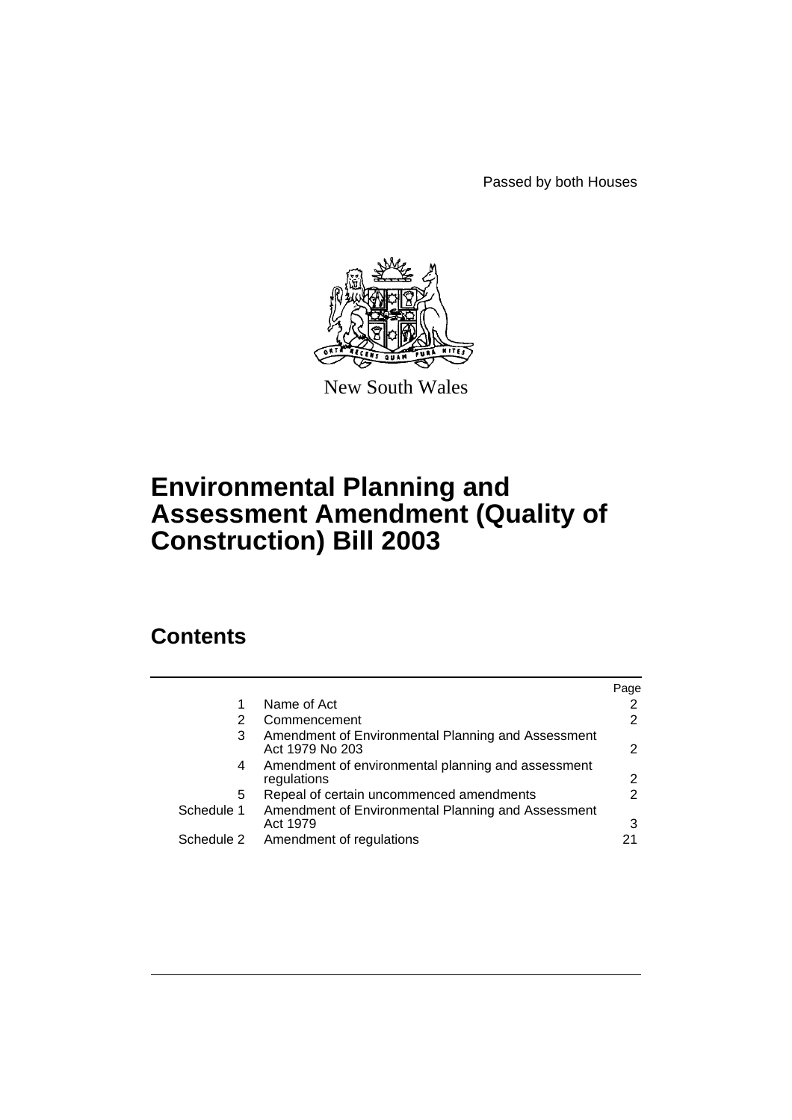Passed by both Houses



New South Wales

# **Environmental Planning and Assessment Amendment (Quality of Construction) Bill 2003**

# **Contents**

|            |                                                                       | Page          |
|------------|-----------------------------------------------------------------------|---------------|
|            | Name of Act                                                           |               |
| 2          | Commencement                                                          | 2             |
| 3          | Amendment of Environmental Planning and Assessment<br>Act 1979 No 203 | 2             |
| 4          | Amendment of environmental planning and assessment<br>regulations     | $\mathcal{P}$ |
| 5          | Repeal of certain uncommenced amendments                              |               |
| Schedule 1 | Amendment of Environmental Planning and Assessment<br>Act 1979        | 3             |
|            | Schedule 2 Amendment of regulations                                   | 21            |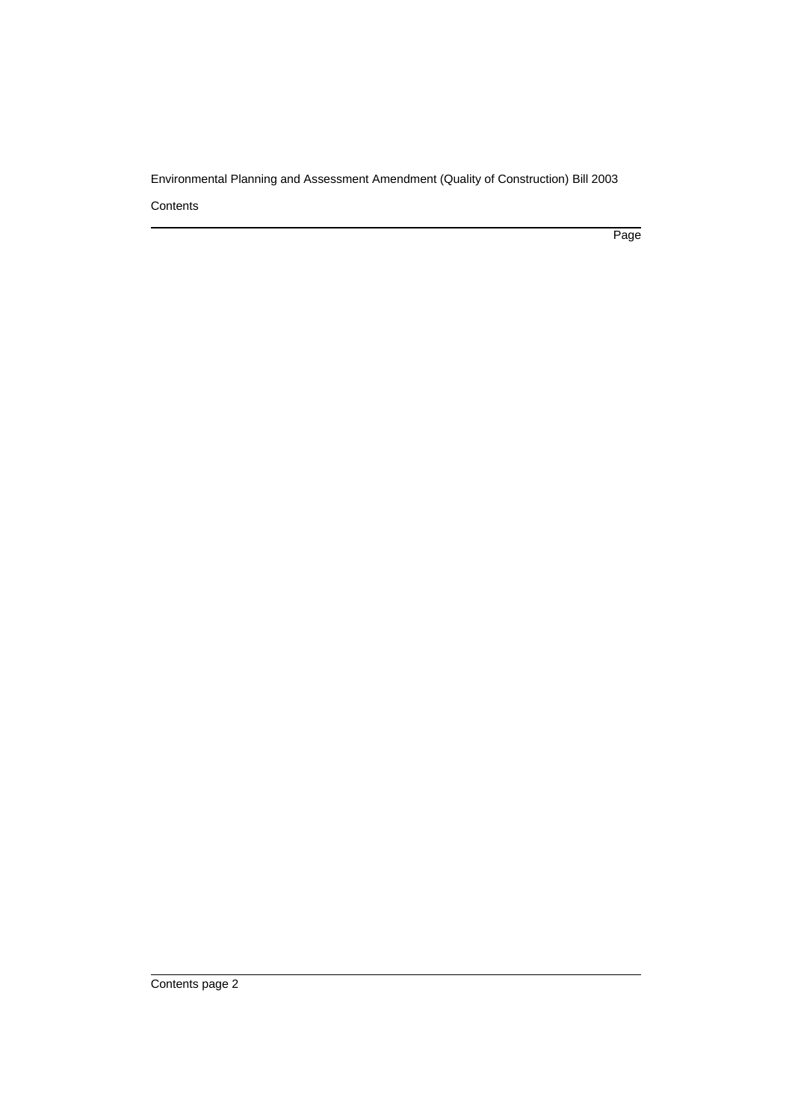**Contents** 

Page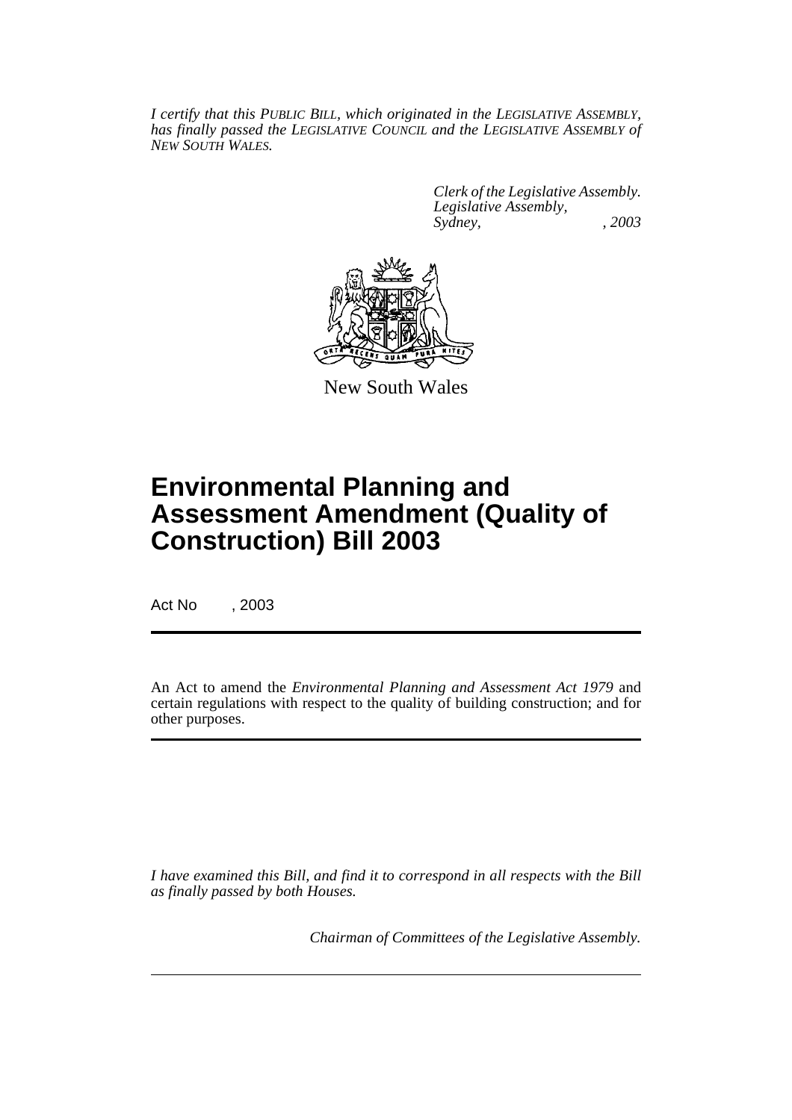*I certify that this PUBLIC BILL, which originated in the LEGISLATIVE ASSEMBLY, has finally passed the LEGISLATIVE COUNCIL and the LEGISLATIVE ASSEMBLY of NEW SOUTH WALES.*

> *Clerk of the Legislative Assembly. Legislative Assembly, Sydney, , 2003*



New South Wales

# **Environmental Planning and Assessment Amendment (Quality of Construction) Bill 2003**

Act No , 2003

An Act to amend the *Environmental Planning and Assessment Act 1979* and certain regulations with respect to the quality of building construction; and for other purposes.

*I have examined this Bill, and find it to correspond in all respects with the Bill as finally passed by both Houses.*

*Chairman of Committees of the Legislative Assembly.*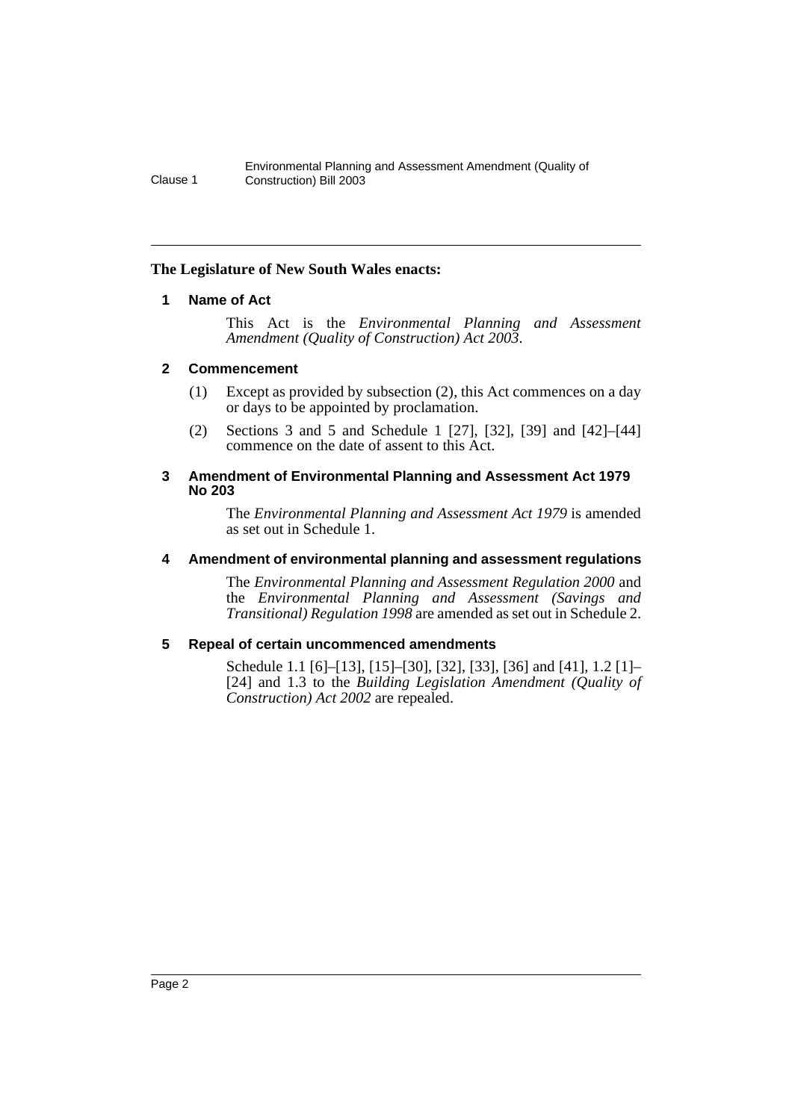# **The Legislature of New South Wales enacts:**

# **1 Name of Act**

This Act is the *Environmental Planning and Assessment Amendment (Quality of Construction) Act 2003*.

# **2 Commencement**

- (1) Except as provided by subsection (2), this Act commences on a day or days to be appointed by proclamation.
- (2) Sections 3 and 5 and Schedule 1 [27], [32], [39] and [42]–[44] commence on the date of assent to this Act.

# **3 Amendment of Environmental Planning and Assessment Act 1979 No 203**

The *Environmental Planning and Assessment Act 1979* is amended as set out in Schedule 1.

# **4 Amendment of environmental planning and assessment regulations**

The *Environmental Planning and Assessment Regulation 2000* and the *Environmental Planning and Assessment (Savings and Transitional) Regulation 1998* are amended as set out in Schedule 2.

# **5 Repeal of certain uncommenced amendments**

Schedule 1.1 [6]–[13], [15]–[30], [32], [33], [36] and [41], 1.2 [1]– [24] and 1.3 to the *Building Legislation Amendment (Quality of Construction) Act 2002* are repealed.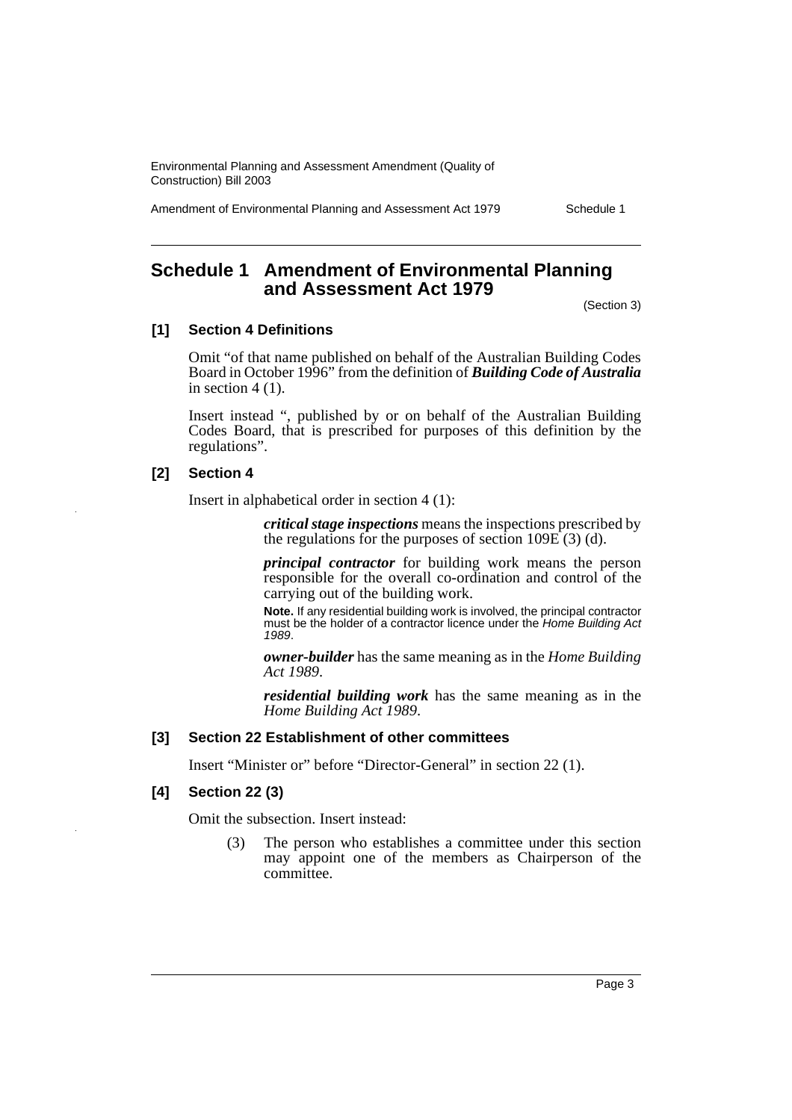Amendment of Environmental Planning and Assessment Act 1979 Schedule 1

# **Schedule 1 Amendment of Environmental Planning and Assessment Act 1979**

(Section 3)

# **[1] Section 4 Definitions**

Omit "of that name published on behalf of the Australian Building Codes Board in October 1996" from the definition of *Building Code of Australia* in section 4 (1).

Insert instead ", published by or on behalf of the Australian Building Codes Board, that is prescribed for purposes of this definition by the regulations".

# **[2] Section 4**

Insert in alphabetical order in section 4 (1):

*critical stage inspections* means the inspections prescribed by the regulations for the purposes of section  $109E(3)$  (d).

*principal contractor* for building work means the person responsible for the overall co-ordination and control of the carrying out of the building work.

**Note.** If any residential building work is involved, the principal contractor must be the holder of a contractor licence under the Home Building Act 1989.

*owner-builder* has the same meaning as in the *Home Building Act 1989*.

*residential building work* has the same meaning as in the *Home Building Act 1989*.

#### **[3] Section 22 Establishment of other committees**

Insert "Minister or" before "Director-General" in section 22 (1).

# **[4] Section 22 (3)**

Omit the subsection. Insert instead:

(3) The person who establishes a committee under this section may appoint one of the members as Chairperson of the committee.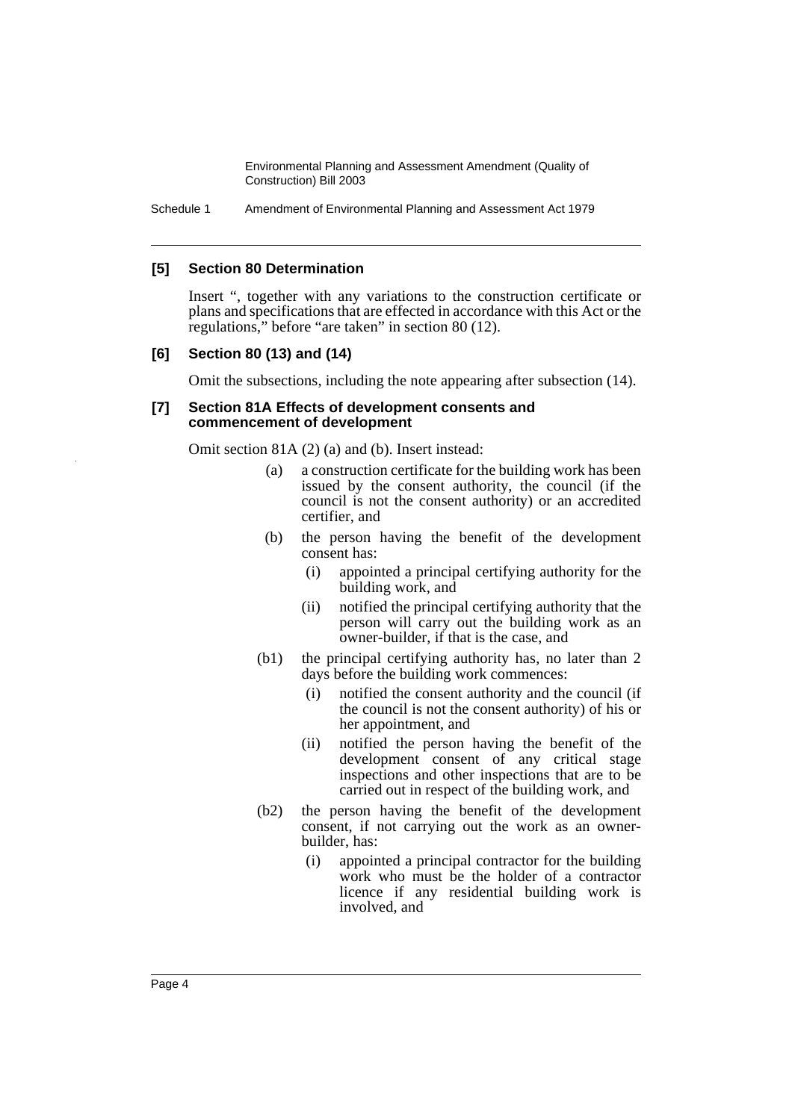Schedule 1 Amendment of Environmental Planning and Assessment Act 1979

# **[5] Section 80 Determination**

Insert ", together with any variations to the construction certificate or plans and specifications that are effected in accordance with this Act or the regulations," before "are taken" in section 80 (12).

# **[6] Section 80 (13) and (14)**

Omit the subsections, including the note appearing after subsection (14).

#### **[7] Section 81A Effects of development consents and commencement of development**

Omit section 81A (2) (a) and (b). Insert instead:

- (a) a construction certificate for the building work has been issued by the consent authority, the council (if the council is not the consent authority) or an accredited certifier, and
- (b) the person having the benefit of the development consent has:
	- (i) appointed a principal certifying authority for the building work, and
	- (ii) notified the principal certifying authority that the person will carry out the building work as an owner-builder, if that is the case, and
- (b1) the principal certifying authority has, no later than 2 days before the building work commences:
	- (i) notified the consent authority and the council (if the council is not the consent authority) of his or her appointment, and
	- (ii) notified the person having the benefit of the development consent of any critical stage inspections and other inspections that are to be carried out in respect of the building work, and
- (b2) the person having the benefit of the development consent, if not carrying out the work as an ownerbuilder, has:
	- (i) appointed a principal contractor for the building work who must be the holder of a contractor licence if any residential building work is involved, and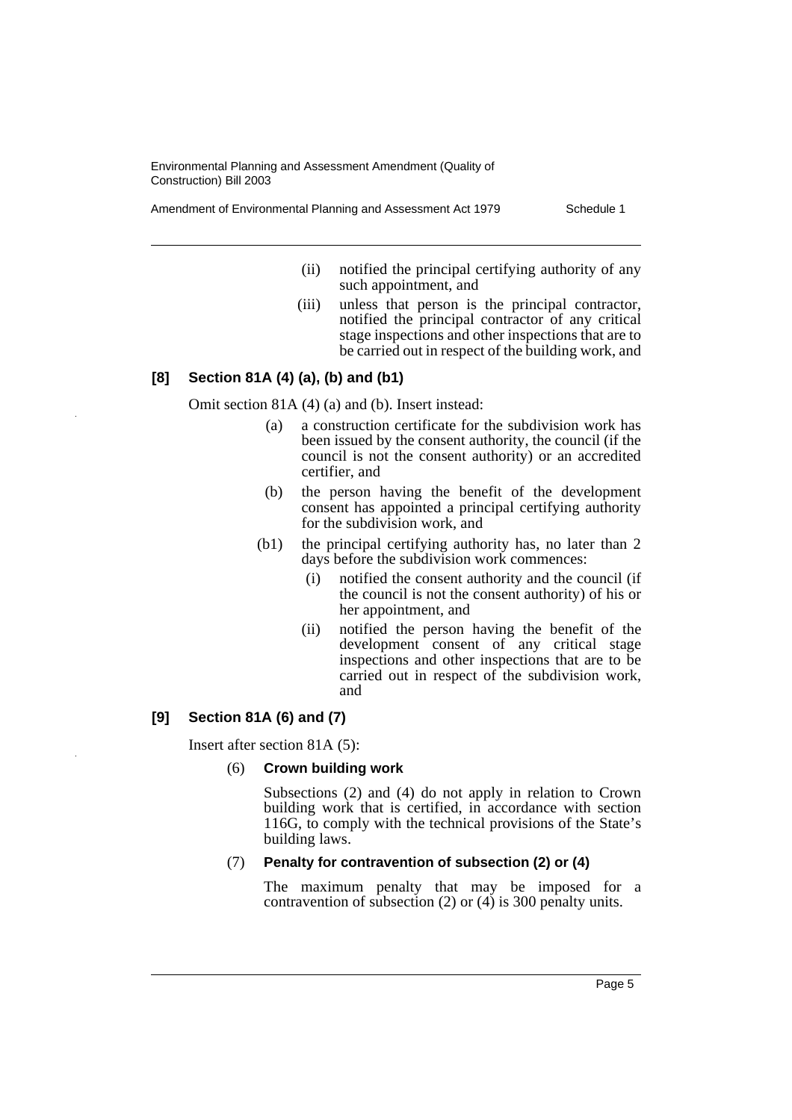Amendment of Environmental Planning and Assessment Act 1979 Schedule 1

- (ii) notified the principal certifying authority of any such appointment, and
- (iii) unless that person is the principal contractor, notified the principal contractor of any critical stage inspections and other inspections that are to be carried out in respect of the building work, and

# **[8] Section 81A (4) (a), (b) and (b1)**

Omit section 81A (4) (a) and (b). Insert instead:

- (a) a construction certificate for the subdivision work has been issued by the consent authority, the council (if the council is not the consent authority) or an accredited certifier, and
- (b) the person having the benefit of the development consent has appointed a principal certifying authority for the subdivision work, and
- (b1) the principal certifying authority has, no later than 2 days before the subdivision work commences:
	- (i) notified the consent authority and the council (if the council is not the consent authority) of his or her appointment, and
	- (ii) notified the person having the benefit of the development consent of any critical stage inspections and other inspections that are to be carried out in respect of the subdivision work, and

# **[9] Section 81A (6) and (7)**

Insert after section 81A (5):

#### (6) **Crown building work**

Subsections (2) and (4) do not apply in relation to Crown building work that is certified, in accordance with section 116G, to comply with the technical provisions of the State's building laws.

#### (7) **Penalty for contravention of subsection (2) or (4)**

The maximum penalty that may be imposed for a contravention of subsection  $(2)$  or  $(4)$  is 300 penalty units.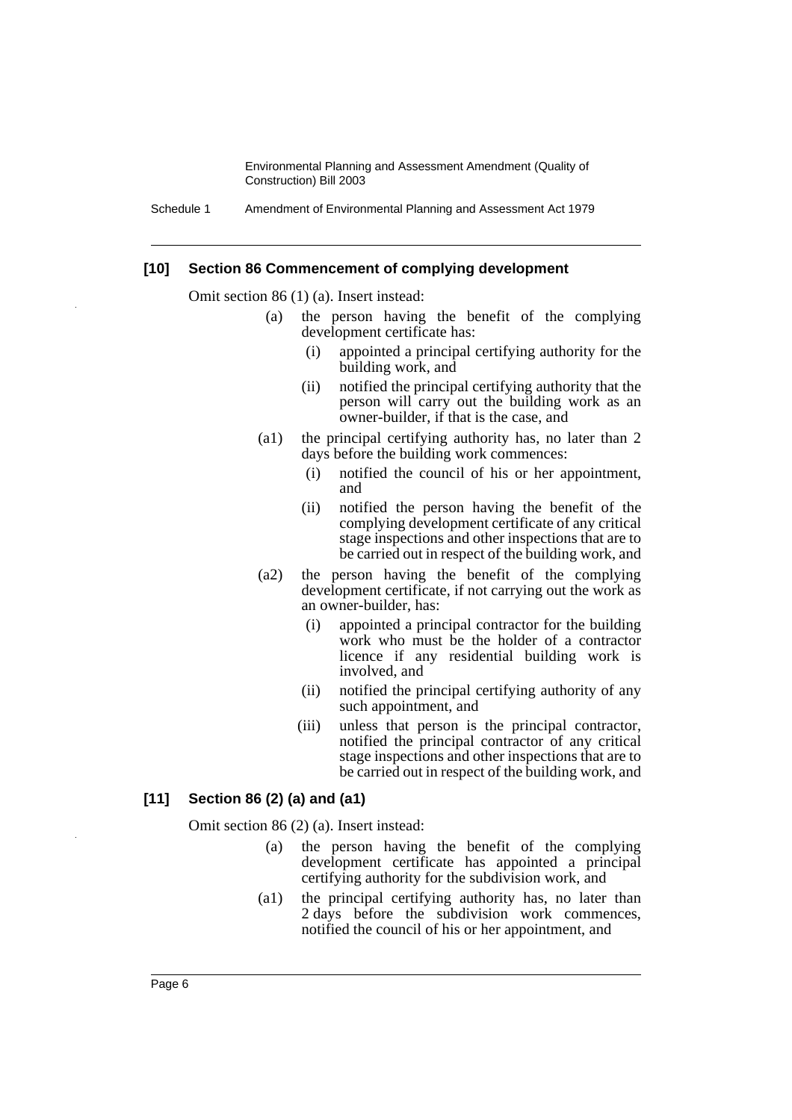Schedule 1 Amendment of Environmental Planning and Assessment Act 1979

# **[10] Section 86 Commencement of complying development**

Omit section 86 (1) (a). Insert instead:

- (a) the person having the benefit of the complying development certificate has:
	- (i) appointed a principal certifying authority for the building work, and
	- (ii) notified the principal certifying authority that the person will carry out the building work as an owner-builder, if that is the case, and
- (a1) the principal certifying authority has, no later than 2 days before the building work commences:
	- (i) notified the council of his or her appointment, and
	- (ii) notified the person having the benefit of the complying development certificate of any critical stage inspections and other inspections that are to be carried out in respect of the building work, and
- (a2) the person having the benefit of the complying development certificate, if not carrying out the work as an owner-builder, has:
	- (i) appointed a principal contractor for the building work who must be the holder of a contractor licence if any residential building work is involved, and
	- (ii) notified the principal certifying authority of any such appointment, and
	- (iii) unless that person is the principal contractor, notified the principal contractor of any critical stage inspections and other inspections that are to be carried out in respect of the building work, and

# **[11] Section 86 (2) (a) and (a1)**

Omit section 86 (2) (a). Insert instead:

- (a) the person having the benefit of the complying development certificate has appointed a principal certifying authority for the subdivision work, and
- (a1) the principal certifying authority has, no later than 2 days before the subdivision work commences, notified the council of his or her appointment, and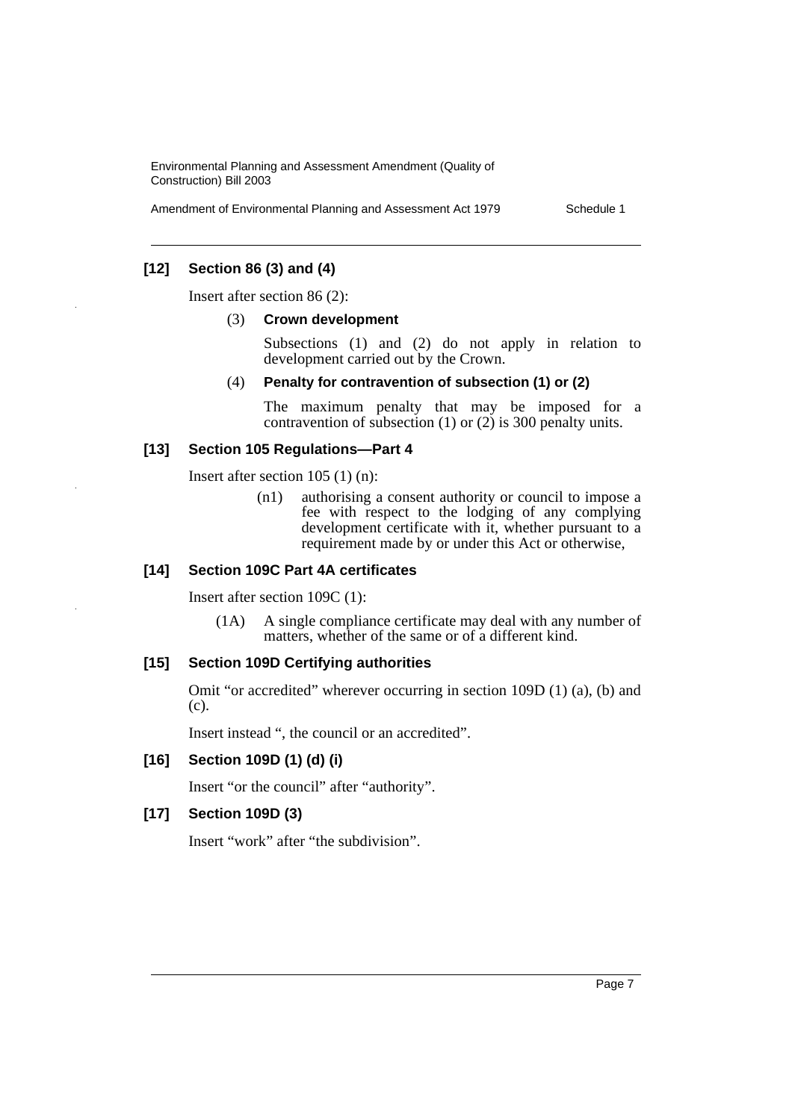Amendment of Environmental Planning and Assessment Act 1979 Schedule 1

# **[12] Section 86 (3) and (4)**

Insert after section 86 (2):

#### (3) **Crown development**

Subsections (1) and (2) do not apply in relation to development carried out by the Crown.

# (4) **Penalty for contravention of subsection (1) or (2)**

The maximum penalty that may be imposed for a contravention of subsection (1) or (2) is 300 penalty units.

#### **[13] Section 105 Regulations—Part 4**

Insert after section 105 (1) (n):

(n1) authorising a consent authority or council to impose a fee with respect to the lodging of any complying development certificate with it, whether pursuant to a requirement made by or under this Act or otherwise,

## **[14] Section 109C Part 4A certificates**

Insert after section 109C (1):

(1A) A single compliance certificate may deal with any number of matters, whether of the same or of a different kind.

# **[15] Section 109D Certifying authorities**

Omit "or accredited" wherever occurring in section 109D (1) (a), (b) and (c).

Insert instead ", the council or an accredited".

# **[16] Section 109D (1) (d) (i)**

Insert "or the council" after "authority".

#### **[17] Section 109D (3)**

Insert "work" after "the subdivision".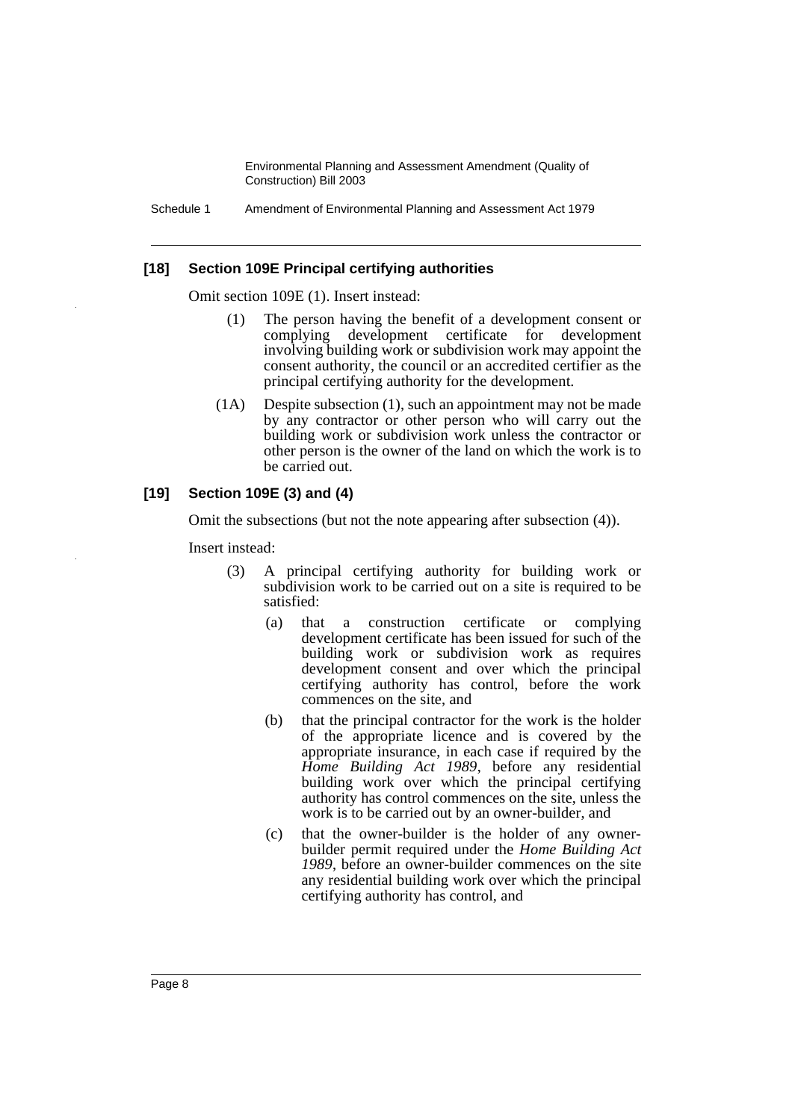Schedule 1 Amendment of Environmental Planning and Assessment Act 1979

# **[18] Section 109E Principal certifying authorities**

Omit section 109E (1). Insert instead:

- (1) The person having the benefit of a development consent or complying development certificate for development involving building work or subdivision work may appoint the consent authority, the council or an accredited certifier as the principal certifying authority for the development.
- (1A) Despite subsection (1), such an appointment may not be made by any contractor or other person who will carry out the building work or subdivision work unless the contractor or other person is the owner of the land on which the work is to be carried out.

## **[19] Section 109E (3) and (4)**

Omit the subsections (but not the note appearing after subsection (4)).

Insert instead:

- (3) A principal certifying authority for building work or subdivision work to be carried out on a site is required to be satisfied:
	- (a) that a construction certificate or complying development certificate has been issued for such of the building work or subdivision work as requires development consent and over which the principal certifying authority has control, before the work commences on the site, and
	- (b) that the principal contractor for the work is the holder of the appropriate licence and is covered by the appropriate insurance, in each case if required by the *Home Building Act 1989*, before any residential building work over which the principal certifying authority has control commences on the site, unless the work is to be carried out by an owner-builder, and
	- (c) that the owner-builder is the holder of any ownerbuilder permit required under the *Home Building Act 1989*, before an owner-builder commences on the site any residential building work over which the principal certifying authority has control, and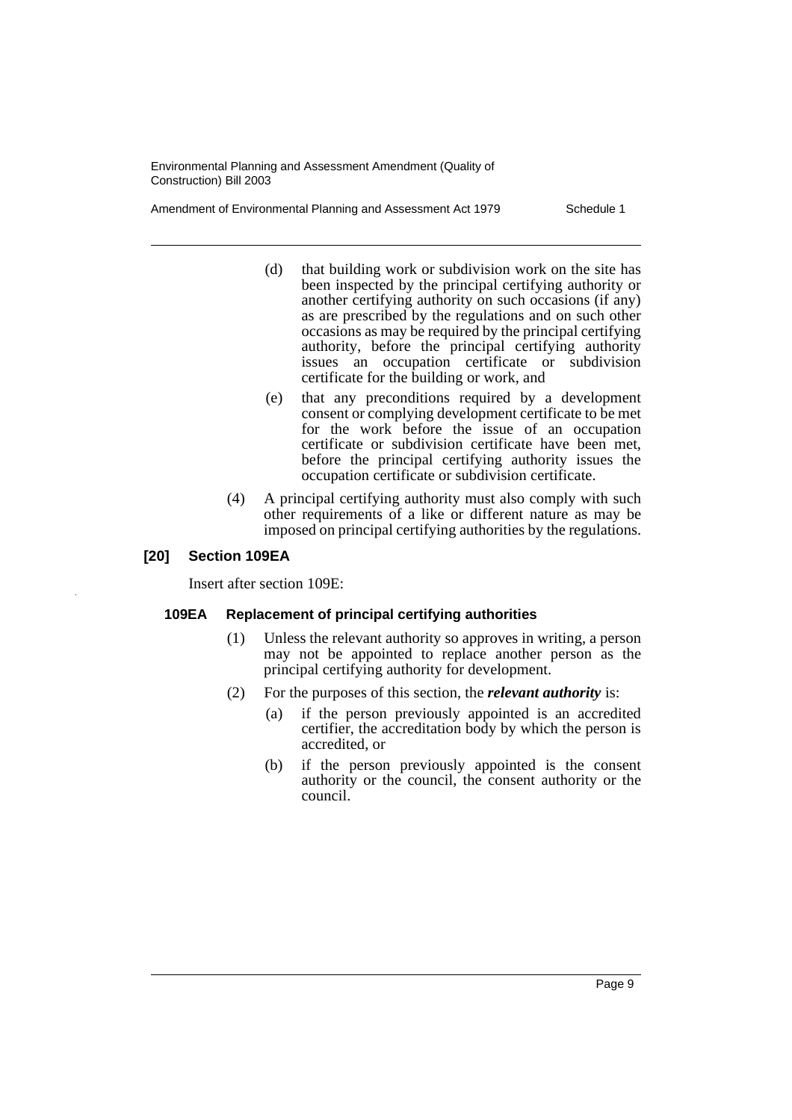Amendment of Environmental Planning and Assessment Act 1979 Schedule 1

- (d) that building work or subdivision work on the site has been inspected by the principal certifying authority or another certifying authority on such occasions (if any) as are prescribed by the regulations and on such other occasions as may be required by the principal certifying authority, before the principal certifying authority issues an occupation certificate or subdivision certificate for the building or work, and
- (e) that any preconditions required by a development consent or complying development certificate to be met for the work before the issue of an occupation certificate or subdivision certificate have been met, before the principal certifying authority issues the occupation certificate or subdivision certificate.
- (4) A principal certifying authority must also comply with such other requirements of a like or different nature as may be imposed on principal certifying authorities by the regulations.

# **[20] Section 109EA**

Insert after section 109E:

# **109EA Replacement of principal certifying authorities**

- (1) Unless the relevant authority so approves in writing, a person may not be appointed to replace another person as the principal certifying authority for development.
- (2) For the purposes of this section, the *relevant authority* is:
	- (a) if the person previously appointed is an accredited certifier, the accreditation body by which the person is accredited, or
	- (b) if the person previously appointed is the consent authority or the council, the consent authority or the council.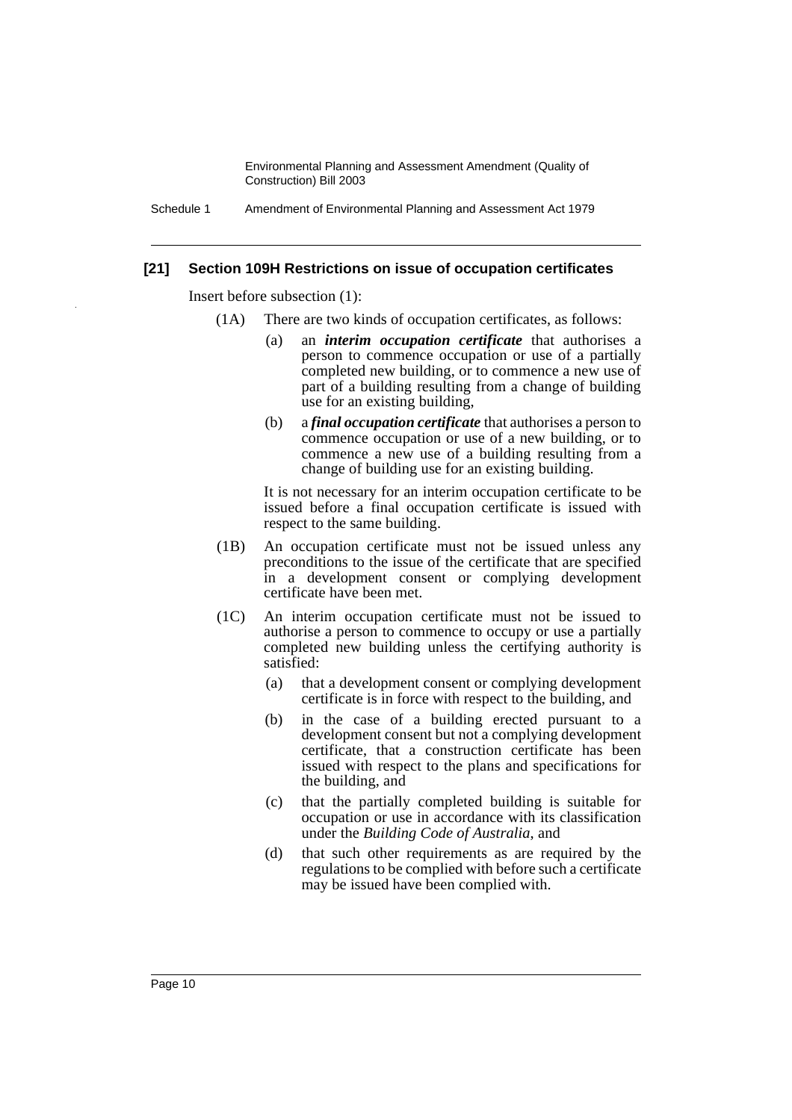Schedule 1 Amendment of Environmental Planning and Assessment Act 1979

#### **[21] Section 109H Restrictions on issue of occupation certificates**

Insert before subsection (1):

- (1A) There are two kinds of occupation certificates, as follows:
	- (a) an *interim occupation certificate* that authorises a person to commence occupation or use of a partially completed new building, or to commence a new use of part of a building resulting from a change of building use for an existing building,
	- (b) a *final occupation certificate* that authorises a person to commence occupation or use of a new building, or to commence a new use of a building resulting from a change of building use for an existing building.

It is not necessary for an interim occupation certificate to be issued before a final occupation certificate is issued with respect to the same building.

- (1B) An occupation certificate must not be issued unless any preconditions to the issue of the certificate that are specified in a development consent or complying development certificate have been met.
- (1C) An interim occupation certificate must not be issued to authorise a person to commence to occupy or use a partially completed new building unless the certifying authority is satisfied:
	- (a) that a development consent or complying development certificate is in force with respect to the building, and
	- (b) in the case of a building erected pursuant to a development consent but not a complying development certificate, that a construction certificate has been issued with respect to the plans and specifications for the building, and
	- (c) that the partially completed building is suitable for occupation or use in accordance with its classification under the *Building Code of Australia*, and
	- (d) that such other requirements as are required by the regulations to be complied with before such a certificate may be issued have been complied with.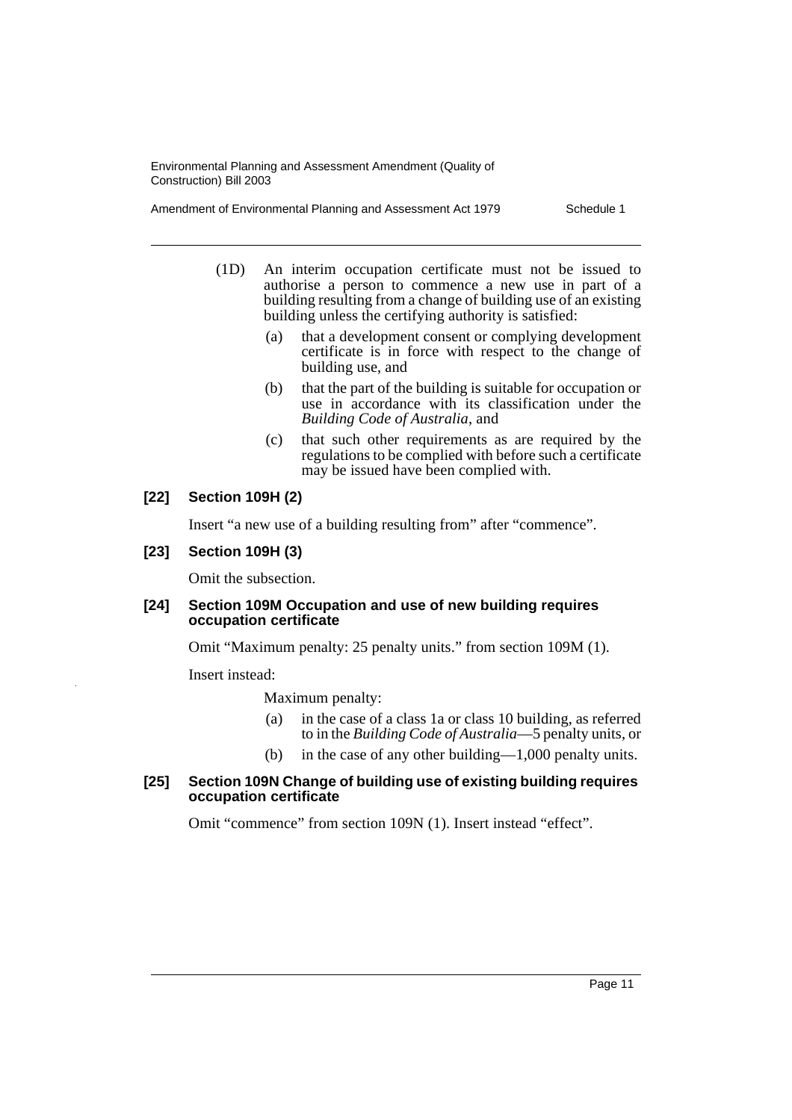Amendment of Environmental Planning and Assessment Act 1979 Schedule 1

- (1D) An interim occupation certificate must not be issued to authorise a person to commence a new use in part of a building resulting from a change of building use of an existing building unless the certifying authority is satisfied:
	- (a) that a development consent or complying development certificate is in force with respect to the change of building use, and
	- (b) that the part of the building is suitable for occupation or use in accordance with its classification under the *Building Code of Australia*, and
	- (c) that such other requirements as are required by the regulations to be complied with before such a certificate may be issued have been complied with.

# **[22] Section 109H (2)**

Insert "a new use of a building resulting from" after "commence".

#### **[23] Section 109H (3)**

Omit the subsection.

#### **[24] Section 109M Occupation and use of new building requires occupation certificate**

Omit "Maximum penalty: 25 penalty units." from section 109M (1).

Insert instead:

Maximum penalty:

- (a) in the case of a class 1a or class 10 building, as referred to in the *Building Code of Australia*—5 penalty units, or
- (b) in the case of any other building—1,000 penalty units.

## **[25] Section 109N Change of building use of existing building requires occupation certificate**

Omit "commence" from section 109N (1). Insert instead "effect".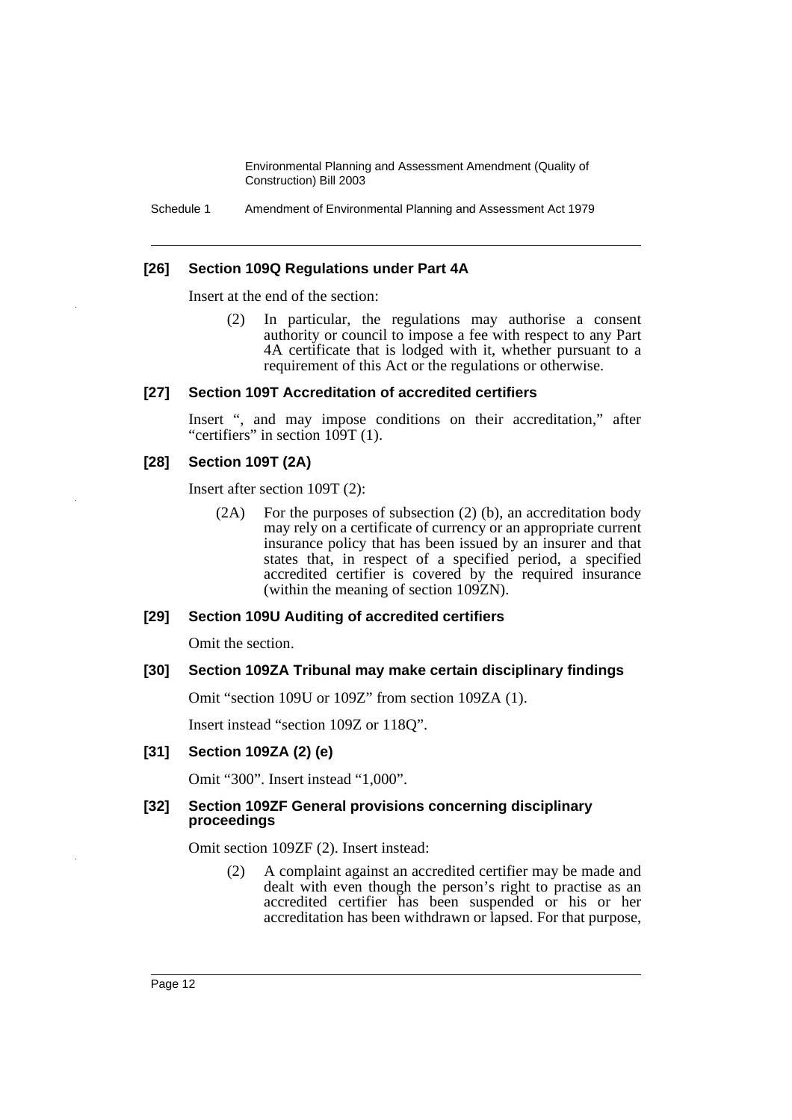Schedule 1 Amendment of Environmental Planning and Assessment Act 1979

#### **[26] Section 109Q Regulations under Part 4A**

Insert at the end of the section:

(2) In particular, the regulations may authorise a consent authority or council to impose a fee with respect to any Part 4A certificate that is lodged with it, whether pursuant to a requirement of this Act or the regulations or otherwise.

#### **[27] Section 109T Accreditation of accredited certifiers**

Insert ", and may impose conditions on their accreditation," after "certifiers" in section 109T (1).

# **[28] Section 109T (2A)**

Insert after section 109T (2):

(2A) For the purposes of subsection (2) (b), an accreditation body may rely on a certificate of currency or an appropriate current insurance policy that has been issued by an insurer and that states that, in respect of a specified period, a specified accredited certifier is covered by the required insurance (within the meaning of section 109ZN).

## **[29] Section 109U Auditing of accredited certifiers**

Omit the section.

#### **[30] Section 109ZA Tribunal may make certain disciplinary findings**

Omit "section 109U or 109Z" from section 109ZA (1).

Insert instead "section 109Z or 118Q".

#### **[31] Section 109ZA (2) (e)**

Omit "300". Insert instead "1,000".

## **[32] Section 109ZF General provisions concerning disciplinary proceedings**

Omit section 109ZF (2). Insert instead:

(2) A complaint against an accredited certifier may be made and dealt with even though the person's right to practise as an accredited certifier has been suspended or his or her accreditation has been withdrawn or lapsed. For that purpose,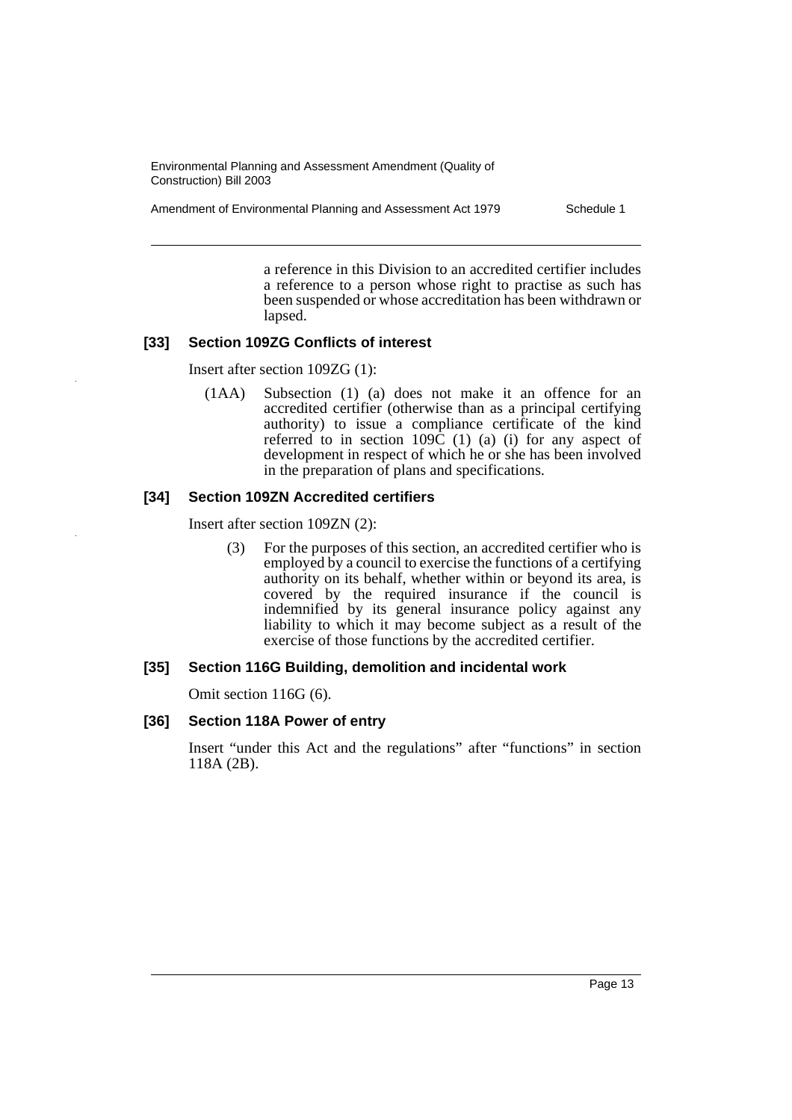Amendment of Environmental Planning and Assessment Act 1979 Schedule 1

a reference in this Division to an accredited certifier includes a reference to a person whose right to practise as such has been suspended or whose accreditation has been withdrawn or lapsed.

# **[33] Section 109ZG Conflicts of interest**

Insert after section 109ZG (1):

(1AA) Subsection (1) (a) does not make it an offence for an accredited certifier (otherwise than as a principal certifying authority) to issue a compliance certificate of the kind referred to in section  $109\dot{C}$  (1) (a) (i) for any aspect of development in respect of which he or she has been involved in the preparation of plans and specifications.

# **[34] Section 109ZN Accredited certifiers**

Insert after section 109ZN (2):

(3) For the purposes of this section, an accredited certifier who is employed by a council to exercise the functions of a certifying authority on its behalf, whether within or beyond its area, is covered by the required insurance if the council is indemnified by its general insurance policy against any liability to which it may become subject as a result of the exercise of those functions by the accredited certifier.

# **[35] Section 116G Building, demolition and incidental work**

Omit section 116G (6).

# **[36] Section 118A Power of entry**

Insert "under this Act and the regulations" after "functions" in section 118A (2B).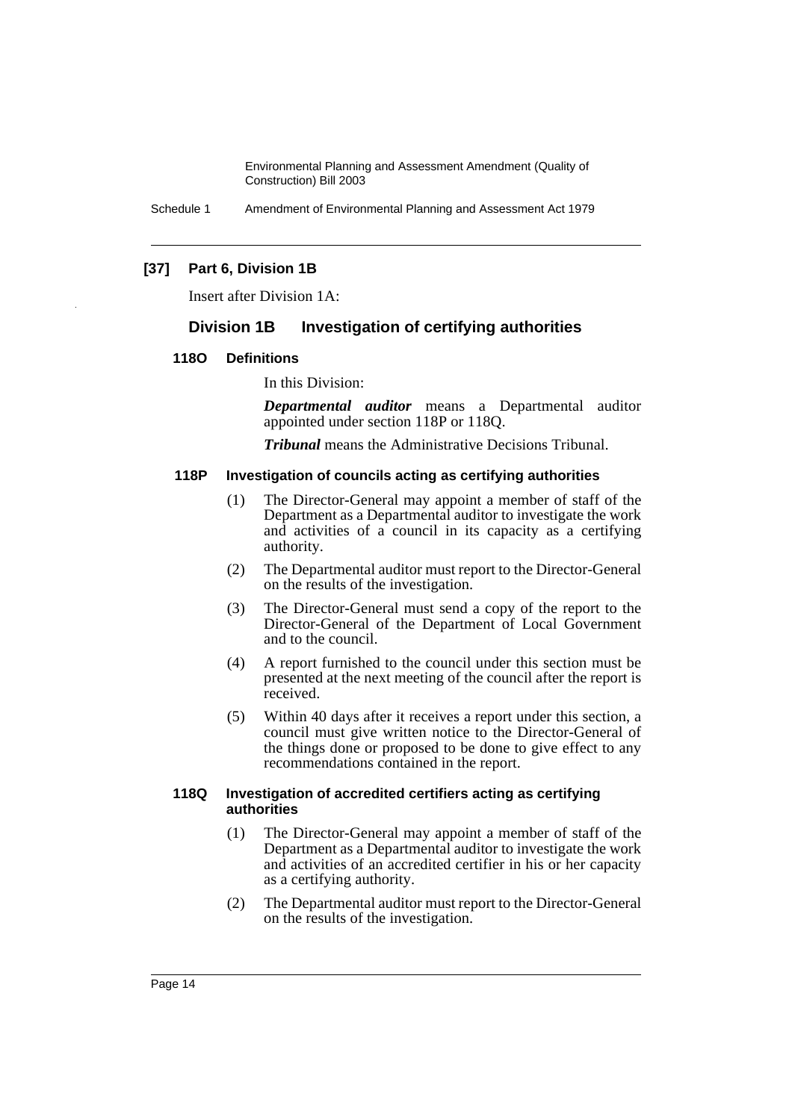Schedule 1 Amendment of Environmental Planning and Assessment Act 1979

# **[37] Part 6, Division 1B**

Insert after Division 1A:

# **Division 1B Investigation of certifying authorities**

#### **118O Definitions**

In this Division:

*Departmental auditor* means a Departmental auditor appointed under section 118P or 118Q.

*Tribunal* means the Administrative Decisions Tribunal.

#### **118P Investigation of councils acting as certifying authorities**

- (1) The Director-General may appoint a member of staff of the Department as a Departmental auditor to investigate the work and activities of a council in its capacity as a certifying authority.
- (2) The Departmental auditor must report to the Director-General on the results of the investigation.
- (3) The Director-General must send a copy of the report to the Director-General of the Department of Local Government and to the council.
- (4) A report furnished to the council under this section must be presented at the next meeting of the council after the report is received.
- (5) Within 40 days after it receives a report under this section, a council must give written notice to the Director-General of the things done or proposed to be done to give effect to any recommendations contained in the report.

#### **118Q Investigation of accredited certifiers acting as certifying authorities**

- (1) The Director-General may appoint a member of staff of the Department as a Departmental auditor to investigate the work and activities of an accredited certifier in his or her capacity as a certifying authority.
- (2) The Departmental auditor must report to the Director-General on the results of the investigation.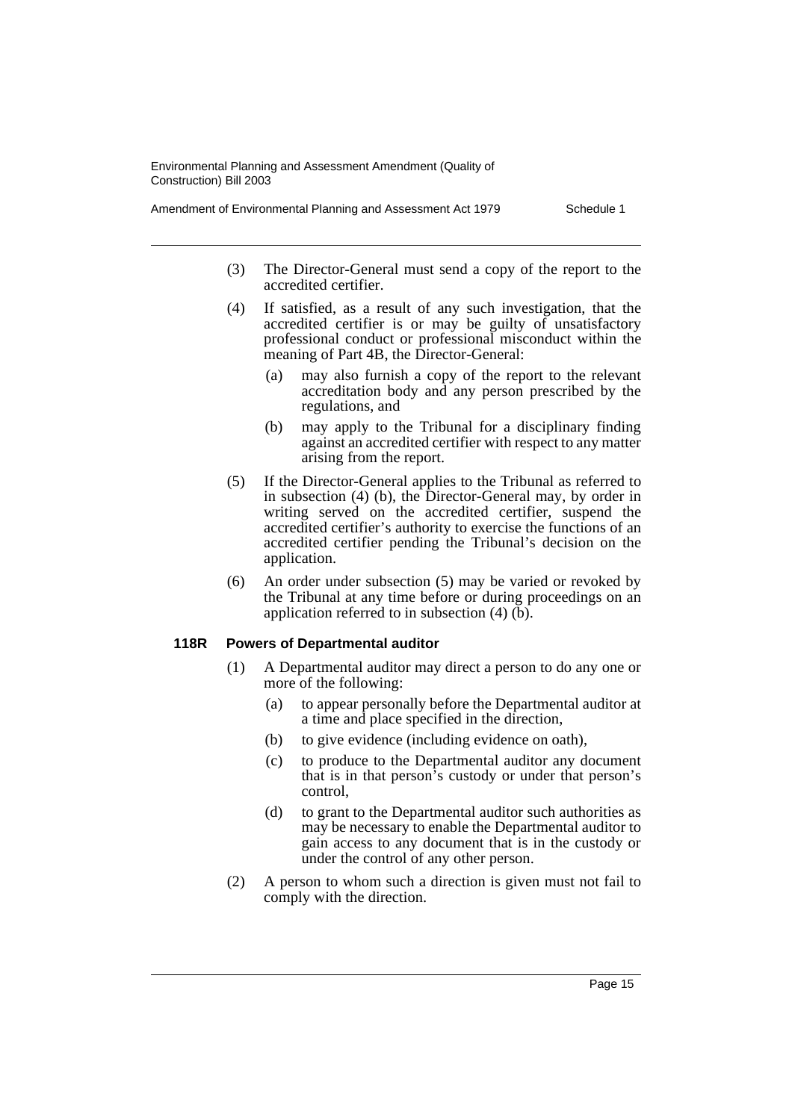Amendment of Environmental Planning and Assessment Act 1979 Schedule 1

- (3) The Director-General must send a copy of the report to the accredited certifier.
- (4) If satisfied, as a result of any such investigation, that the accredited certifier is or may be guilty of unsatisfactory professional conduct or professional misconduct within the meaning of Part 4B, the Director-General:
	- (a) may also furnish a copy of the report to the relevant accreditation body and any person prescribed by the regulations, and
	- (b) may apply to the Tribunal for a disciplinary finding against an accredited certifier with respect to any matter arising from the report.
- (5) If the Director-General applies to the Tribunal as referred to in subsection (4) (b), the Director-General may, by order in writing served on the accredited certifier, suspend the accredited certifier's authority to exercise the functions of an accredited certifier pending the Tribunal's decision on the application.
- (6) An order under subsection (5) may be varied or revoked by the Tribunal at any time before or during proceedings on an application referred to in subsection  $(4)$   $(b)$ .

# **118R Powers of Departmental auditor**

- (1) A Departmental auditor may direct a person to do any one or more of the following:
	- (a) to appear personally before the Departmental auditor at a time and place specified in the direction,
	- (b) to give evidence (including evidence on oath),
	- (c) to produce to the Departmental auditor any document that is in that person's custody or under that person's control,
	- (d) to grant to the Departmental auditor such authorities as may be necessary to enable the Departmental auditor to gain access to any document that is in the custody or under the control of any other person.
- (2) A person to whom such a direction is given must not fail to comply with the direction.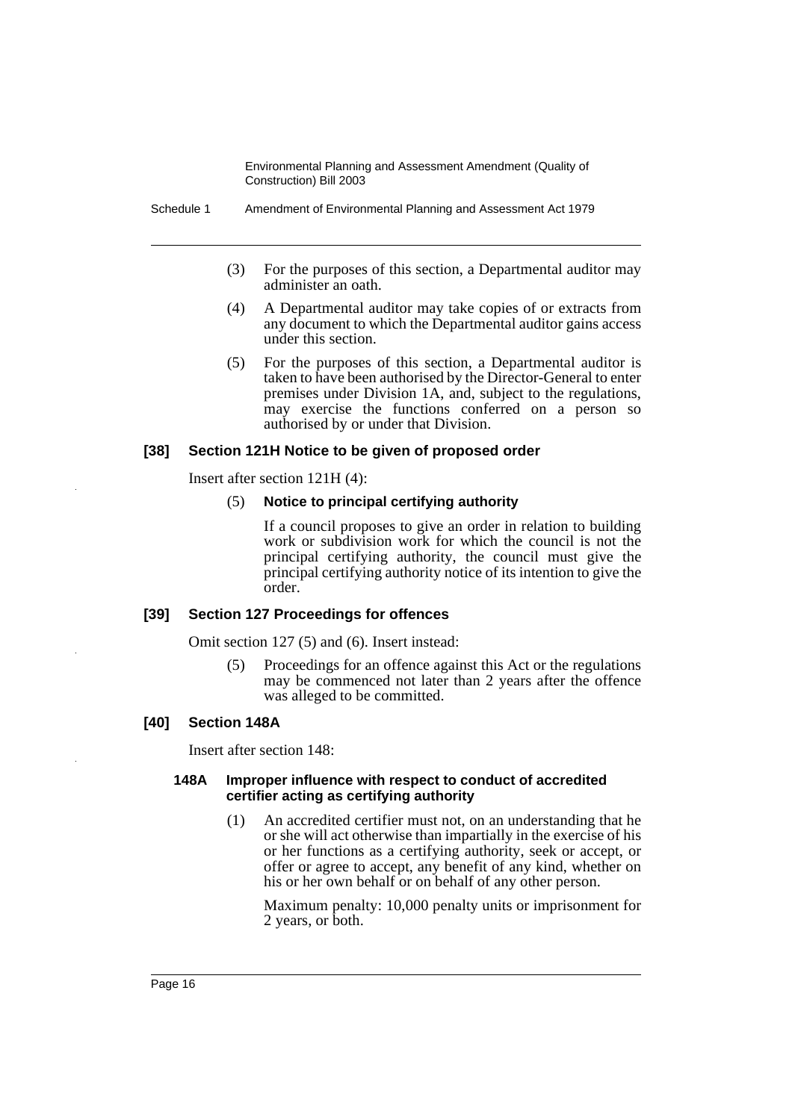- (3) For the purposes of this section, a Departmental auditor may administer an oath.
- (4) A Departmental auditor may take copies of or extracts from any document to which the Departmental auditor gains access under this section.
- (5) For the purposes of this section, a Departmental auditor is taken to have been authorised by the Director-General to enter premises under Division 1A, and, subject to the regulations, may exercise the functions conferred on a person so authorised by or under that Division.

#### **[38] Section 121H Notice to be given of proposed order**

Insert after section 121H (4):

#### (5) **Notice to principal certifying authority**

If a council proposes to give an order in relation to building work or subdivision work for which the council is not the principal certifying authority, the council must give the principal certifying authority notice of its intention to give the order.

#### **[39] Section 127 Proceedings for offences**

Omit section 127 (5) and (6). Insert instead:

(5) Proceedings for an offence against this Act or the regulations may be commenced not later than 2 years after the offence was alleged to be committed.

#### **[40] Section 148A**

Insert after section 148:

#### **148A Improper influence with respect to conduct of accredited certifier acting as certifying authority**

(1) An accredited certifier must not, on an understanding that he or she will act otherwise than impartially in the exercise of his or her functions as a certifying authority, seek or accept, or offer or agree to accept, any benefit of any kind, whether on his or her own behalf or on behalf of any other person.

Maximum penalty: 10,000 penalty units or imprisonment for 2 years, or both.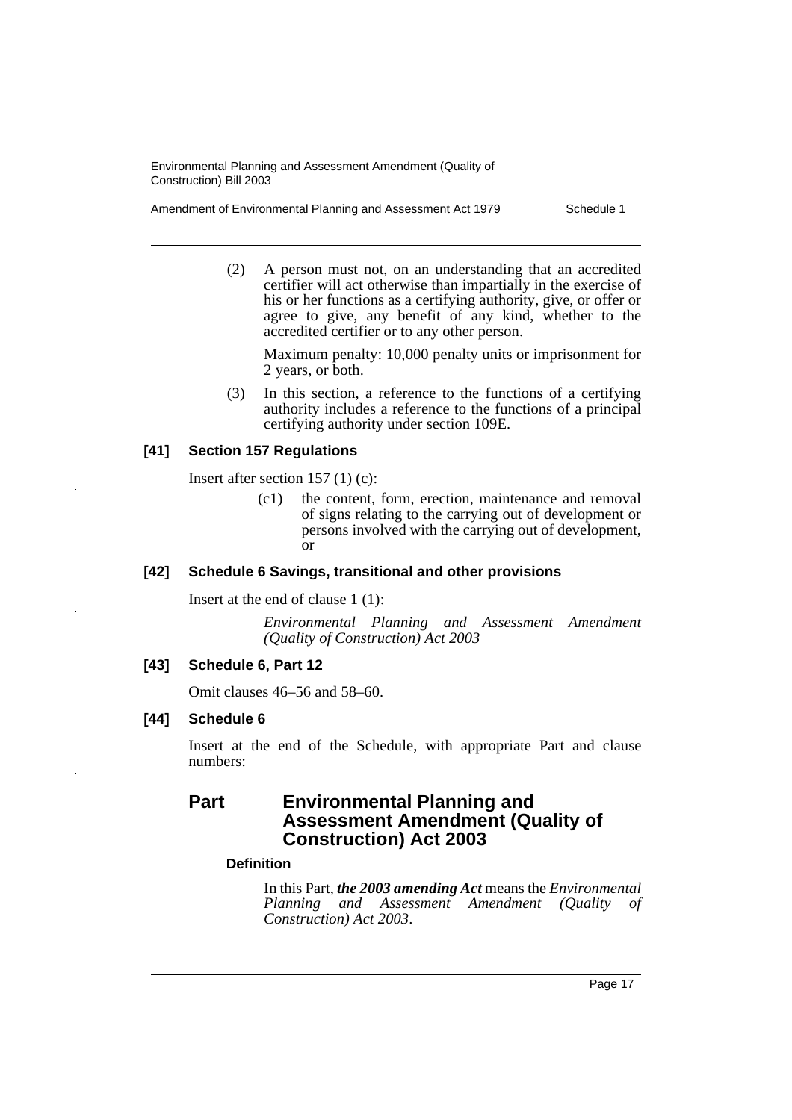Amendment of Environmental Planning and Assessment Act 1979 Schedule 1

(2) A person must not, on an understanding that an accredited certifier will act otherwise than impartially in the exercise of his or her functions as a certifying authority, give, or offer or agree to give, any benefit of any kind, whether to the accredited certifier or to any other person.

Maximum penalty: 10,000 penalty units or imprisonment for 2 years, or both.

(3) In this section, a reference to the functions of a certifying authority includes a reference to the functions of a principal certifying authority under section 109E.

# **[41] Section 157 Regulations**

Insert after section 157 (1) (c):

(c1) the content, form, erection, maintenance and removal of signs relating to the carrying out of development or persons involved with the carrying out of development, or

# **[42] Schedule 6 Savings, transitional and other provisions**

Insert at the end of clause 1 (1):

*Environmental Planning and Assessment Amendment (Quality of Construction) Act 2003*

# **[43] Schedule 6, Part 12**

Omit clauses 46–56 and 58–60.

# **[44] Schedule 6**

Insert at the end of the Schedule, with appropriate Part and clause numbers:

# **Part Environmental Planning and Assessment Amendment (Quality of Construction) Act 2003**

# **Definition**

In this Part, *the 2003 amending Act* means the *Environmental Planning and Assessment Amendment (Quality of Construction) Act 2003*.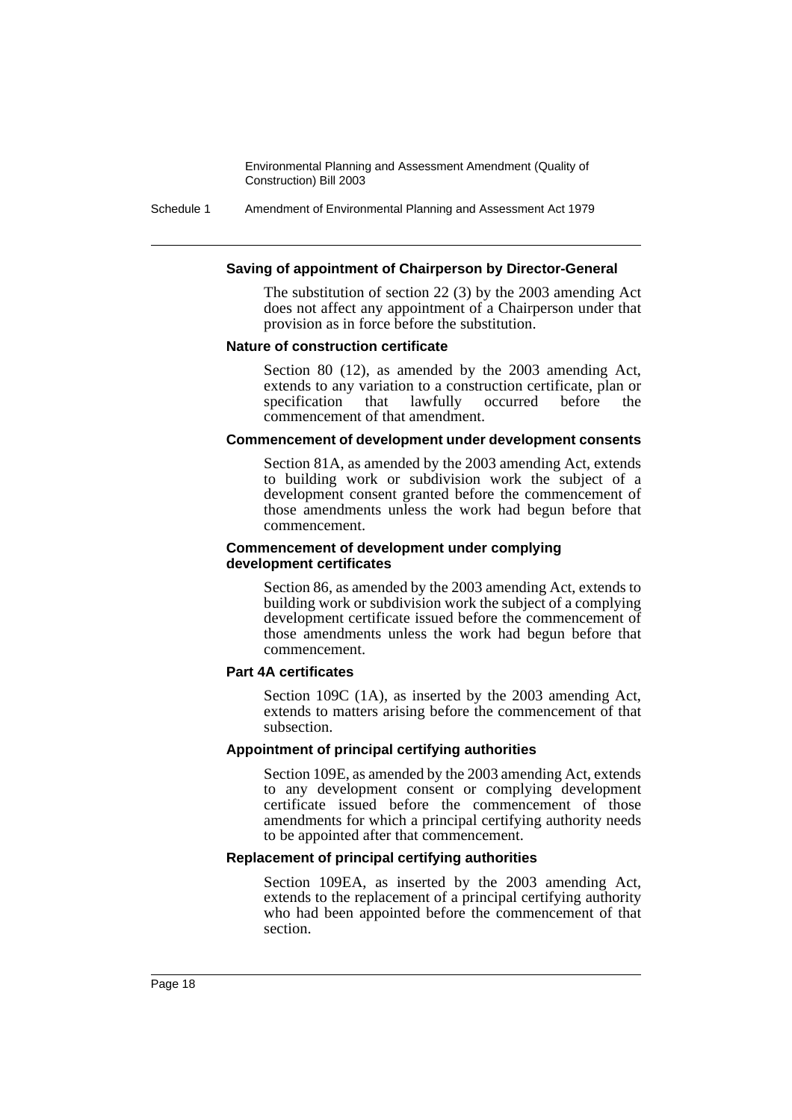Schedule 1 Amendment of Environmental Planning and Assessment Act 1979

#### **Saving of appointment of Chairperson by Director-General**

The substitution of section 22 (3) by the 2003 amending Act does not affect any appointment of a Chairperson under that provision as in force before the substitution.

#### **Nature of construction certificate**

Section 80 (12), as amended by the 2003 amending Act, extends to any variation to a construction certificate, plan or specification that lawfully occurred before the specification that lawfully commencement of that amendment.

#### **Commencement of development under development consents**

Section 81A, as amended by the 2003 amending Act, extends to building work or subdivision work the subject of a development consent granted before the commencement of those amendments unless the work had begun before that commencement.

#### **Commencement of development under complying development certificates**

Section 86, as amended by the 2003 amending Act, extends to building work or subdivision work the subject of a complying development certificate issued before the commencement of those amendments unless the work had begun before that commencement.

#### **Part 4A certificates**

Section 109C (1A), as inserted by the 2003 amending Act, extends to matters arising before the commencement of that subsection.

#### **Appointment of principal certifying authorities**

Section 109E, as amended by the 2003 amending Act, extends to any development consent or complying development certificate issued before the commencement of those amendments for which a principal certifying authority needs to be appointed after that commencement.

#### **Replacement of principal certifying authorities**

Section 109EA, as inserted by the 2003 amending Act, extends to the replacement of a principal certifying authority who had been appointed before the commencement of that section.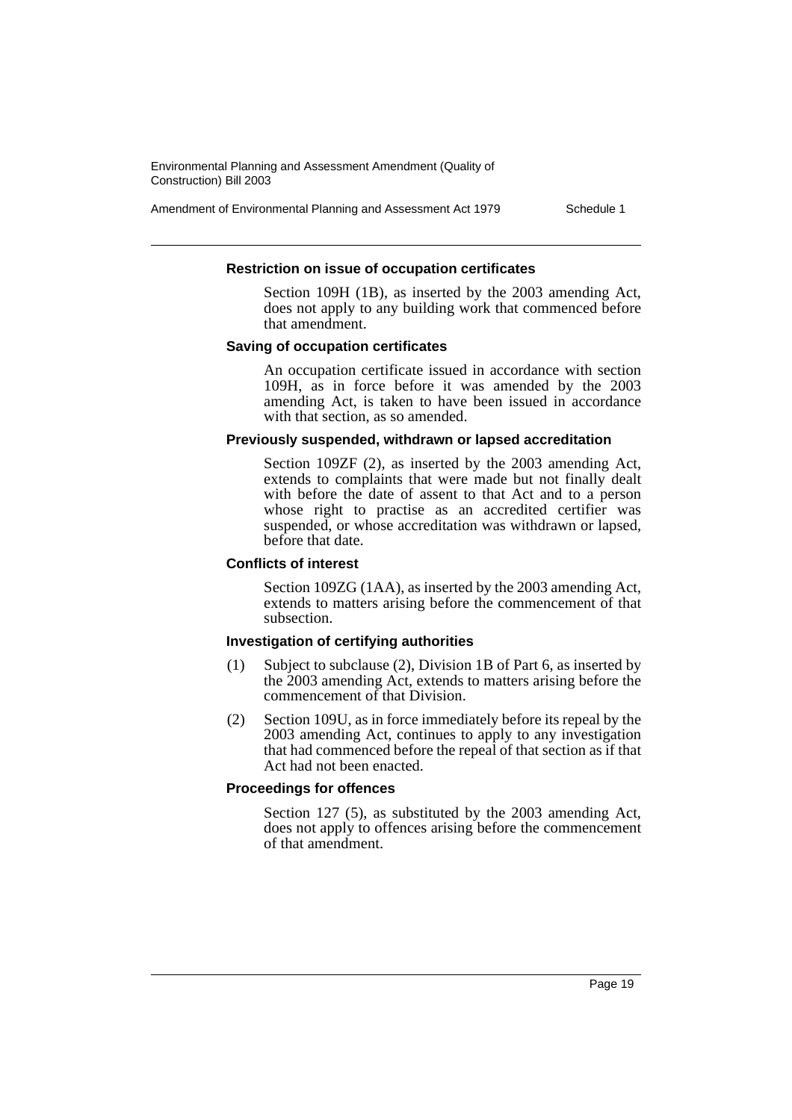Amendment of Environmental Planning and Assessment Act 1979 Schedule 1

#### **Restriction on issue of occupation certificates**

Section 109H (1B), as inserted by the 2003 amending Act, does not apply to any building work that commenced before that amendment.

# **Saving of occupation certificates**

An occupation certificate issued in accordance with section 109H, as in force before it was amended by the 2003 amending Act, is taken to have been issued in accordance with that section, as so amended.

# **Previously suspended, withdrawn or lapsed accreditation**

Section 109ZF (2), as inserted by the 2003 amending Act, extends to complaints that were made but not finally dealt with before the date of assent to that Act and to a person whose right to practise as an accredited certifier was suspended, or whose accreditation was withdrawn or lapsed, before that date.

#### **Conflicts of interest**

Section 109ZG (1AA), as inserted by the 2003 amending Act, extends to matters arising before the commencement of that subsection.

# **Investigation of certifying authorities**

- (1) Subject to subclause (2), Division 1B of Part 6, as inserted by the 2003 amending Act, extends to matters arising before the commencement of that Division.
- (2) Section 109U, as in force immediately before its repeal by the 2003 amending Act, continues to apply to any investigation that had commenced before the repeal of that section as if that Act had not been enacted.

#### **Proceedings for offences**

Section 127 (5), as substituted by the 2003 amending Act, does not apply to offences arising before the commencement of that amendment.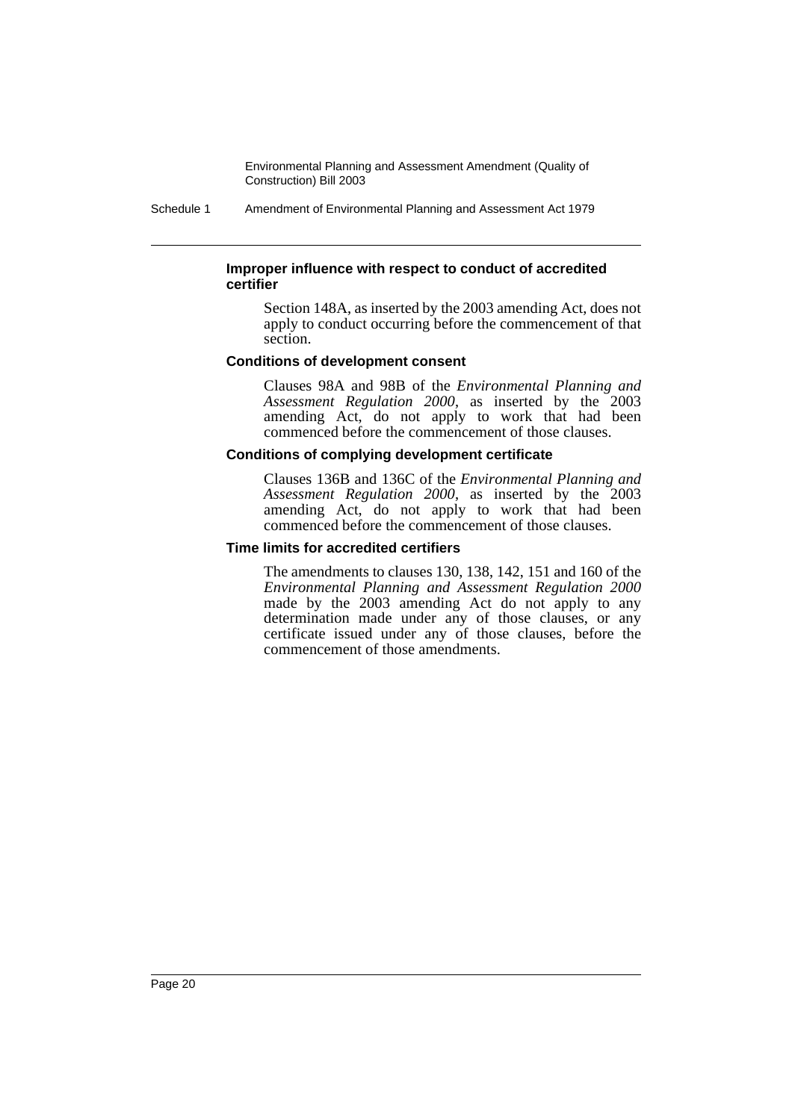Schedule 1 Amendment of Environmental Planning and Assessment Act 1979

#### **Improper influence with respect to conduct of accredited certifier**

Section 148A, as inserted by the 2003 amending Act, does not apply to conduct occurring before the commencement of that section.

#### **Conditions of development consent**

Clauses 98A and 98B of the *Environmental Planning and* Assessment Regulation 2000, as inserted by the 2003 amending Act, do not apply to work that had been commenced before the commencement of those clauses.

#### **Conditions of complying development certificate**

Clauses 136B and 136C of the *Environmental Planning and Assessment Regulation 2000*, as inserted by the 2003 amending Act, do not apply to work that had been commenced before the commencement of those clauses.

## **Time limits for accredited certifiers**

The amendments to clauses 130, 138, 142, 151 and 160 of the *Environmental Planning and Assessment Regulation 2000* made by the 2003 amending Act do not apply to any determination made under any of those clauses, or any certificate issued under any of those clauses, before the commencement of those amendments.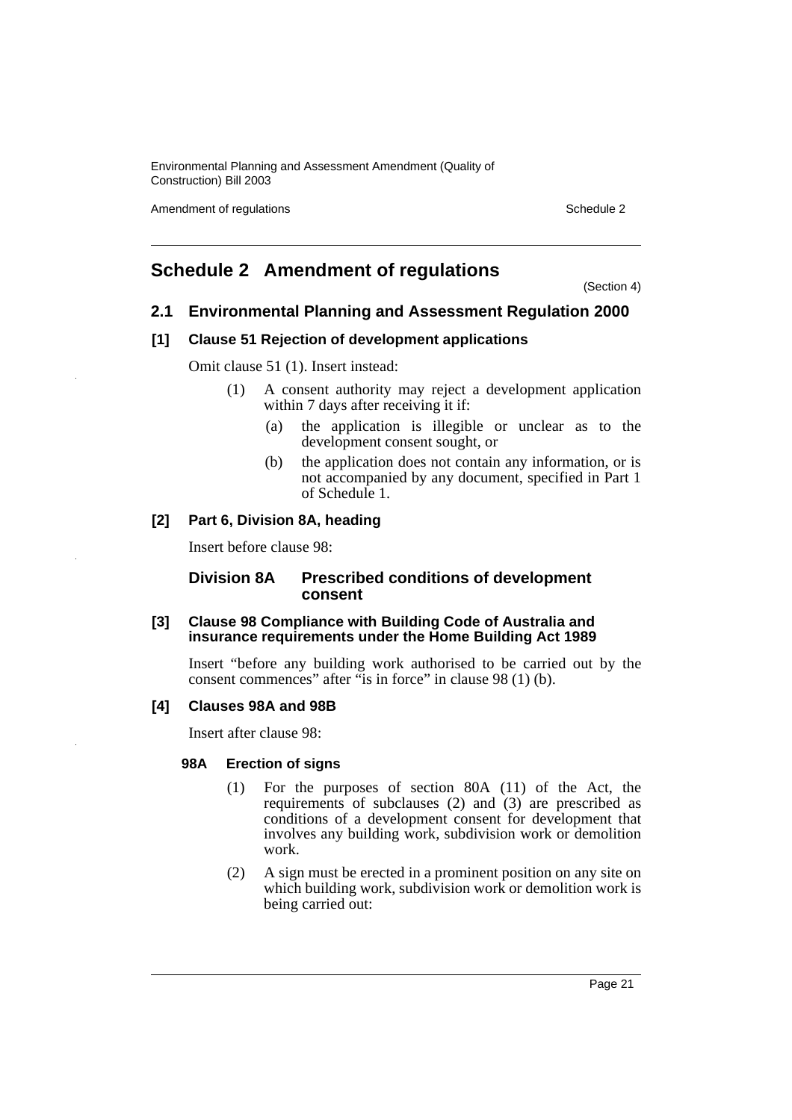Amendment of regulations **Schedule 2** Schedule 2

# **Schedule 2 Amendment of regulations**

(Section 4)

# **2.1 Environmental Planning and Assessment Regulation 2000**

# **[1] Clause 51 Rejection of development applications**

Omit clause 51 (1). Insert instead:

- (1) A consent authority may reject a development application within 7 days after receiving it if:
	- (a) the application is illegible or unclear as to the development consent sought, or
	- (b) the application does not contain any information, or is not accompanied by any document, specified in Part 1 of Schedule 1.

# **[2] Part 6, Division 8A, heading**

Insert before clause 98:

# **Division 8A Prescribed conditions of development consent**

## **[3] Clause 98 Compliance with Building Code of Australia and insurance requirements under the Home Building Act 1989**

Insert "before any building work authorised to be carried out by the consent commences" after "is in force" in clause 98 (1) (b).

# **[4] Clauses 98A and 98B**

Insert after clause 98:

# **98A Erection of signs**

- (1) For the purposes of section 80A (11) of the Act, the requirements of subclauses (2) and (3) are prescribed as conditions of a development consent for development that involves any building work, subdivision work or demolition work.
- (2) A sign must be erected in a prominent position on any site on which building work, subdivision work or demolition work is being carried out: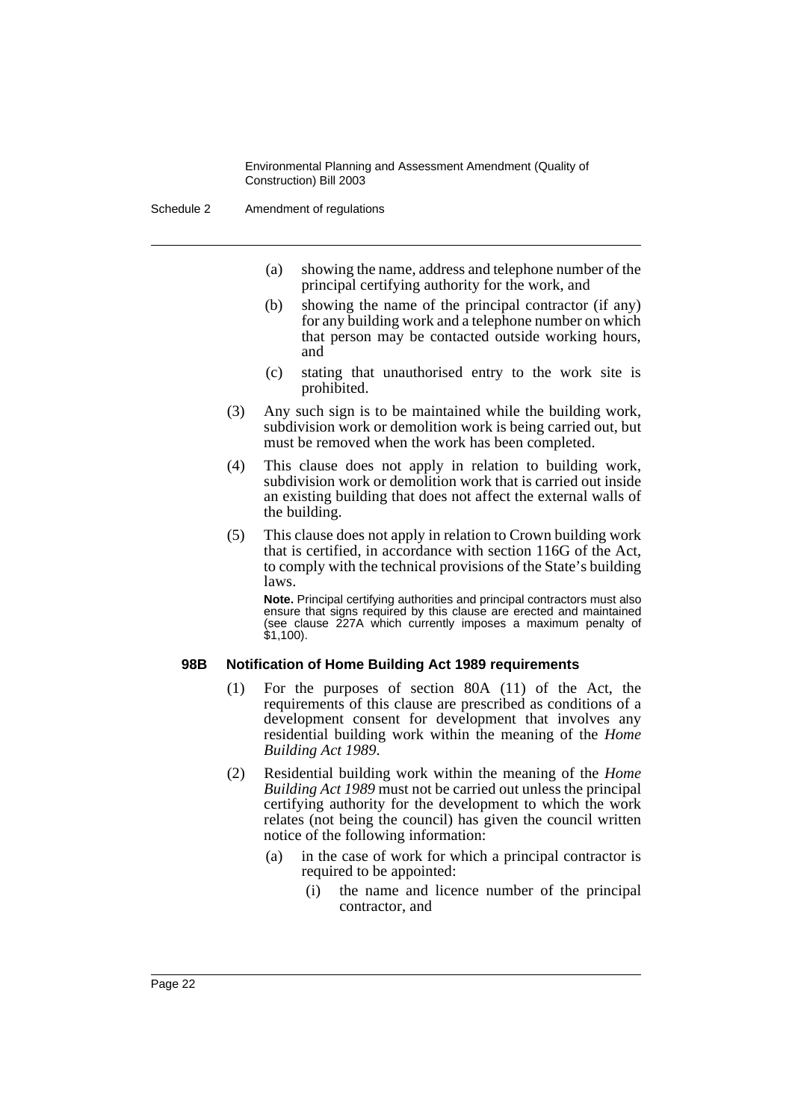Schedule 2 Amendment of regulations

- (a) showing the name, address and telephone number of the principal certifying authority for the work, and
- (b) showing the name of the principal contractor (if any) for any building work and a telephone number on which that person may be contacted outside working hours, and
- (c) stating that unauthorised entry to the work site is prohibited.
- (3) Any such sign is to be maintained while the building work, subdivision work or demolition work is being carried out, but must be removed when the work has been completed.
- (4) This clause does not apply in relation to building work, subdivision work or demolition work that is carried out inside an existing building that does not affect the external walls of the building.
- (5) This clause does not apply in relation to Crown building work that is certified, in accordance with section 116G of the Act, to comply with the technical provisions of the State's building laws.

**Note.** Principal certifying authorities and principal contractors must also ensure that signs required by this clause are erected and maintained (see clause 227A which currently imposes a maximum penalty of  $$1,100$ ).

#### **98B Notification of Home Building Act 1989 requirements**

- (1) For the purposes of section 80A (11) of the Act, the requirements of this clause are prescribed as conditions of a development consent for development that involves any residential building work within the meaning of the *Home Building Act 1989*.
- (2) Residential building work within the meaning of the *Home Building Act 1989* must not be carried out unless the principal certifying authority for the development to which the work relates (not being the council) has given the council written notice of the following information:
	- (a) in the case of work for which a principal contractor is required to be appointed:
		- (i) the name and licence number of the principal contractor, and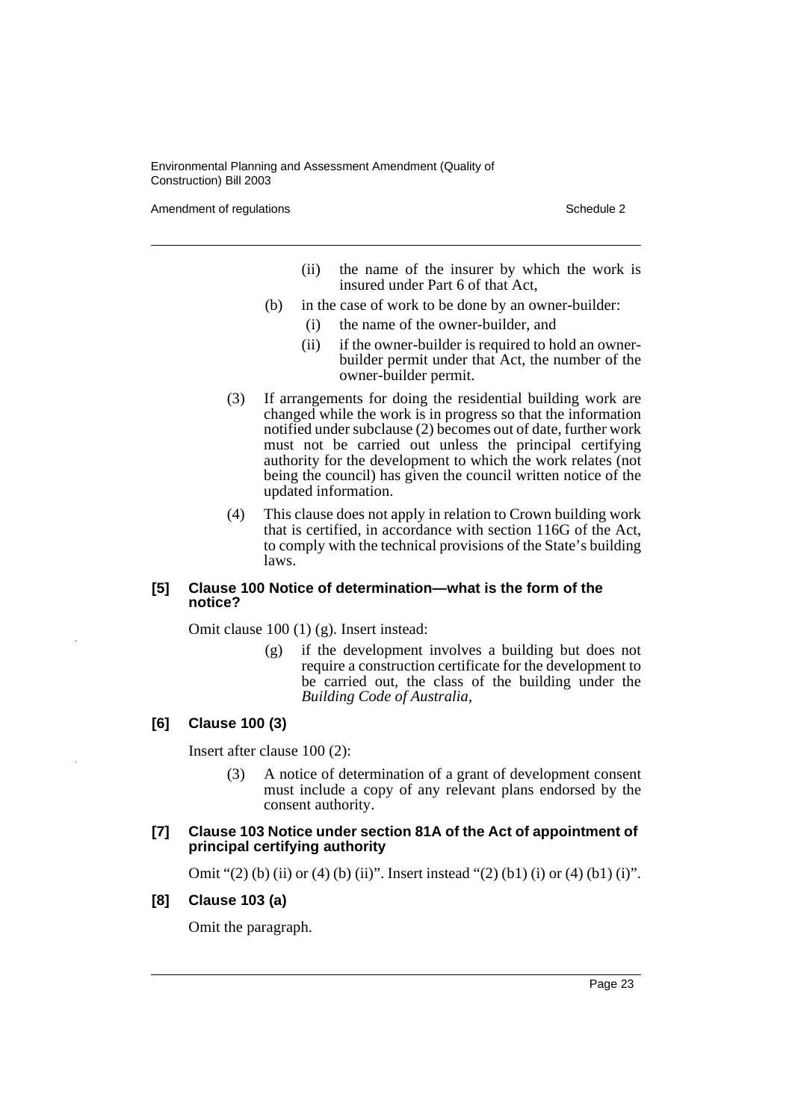Amendment of regulations **Schedule 2** Schedule 2

- (ii) the name of the insurer by which the work is insured under Part 6 of that Act,
- (b) in the case of work to be done by an owner-builder:
	- (i) the name of the owner-builder, and
	- (ii) if the owner-builder is required to hold an ownerbuilder permit under that Act, the number of the owner-builder permit.
- (3) If arrangements for doing the residential building work are changed while the work is in progress so that the information notified under subclause (2) becomes out of date, further work must not be carried out unless the principal certifying authority for the development to which the work relates (not being the council) has given the council written notice of the updated information.
- (4) This clause does not apply in relation to Crown building work that is certified, in accordance with section 116G of the Act, to comply with the technical provisions of the State's building laws.

# **[5] Clause 100 Notice of determination—what is the form of the notice?**

Omit clause 100 (1) (g). Insert instead:

(g) if the development involves a building but does not require a construction certificate for the development to be carried out, the class of the building under the *Building Code of Australia*,

# **[6] Clause 100 (3)**

Insert after clause 100 (2):

(3) A notice of determination of a grant of development consent must include a copy of any relevant plans endorsed by the consent authority.

#### **[7] Clause 103 Notice under section 81A of the Act of appointment of principal certifying authority**

Omit " $(2)$  (b) (ii) or  $(4)$  (b) (ii)". Insert instead " $(2)$  (b1) (i) or  $(4)$  (b1) (i)".

**[8] Clause 103 (a)**

Omit the paragraph.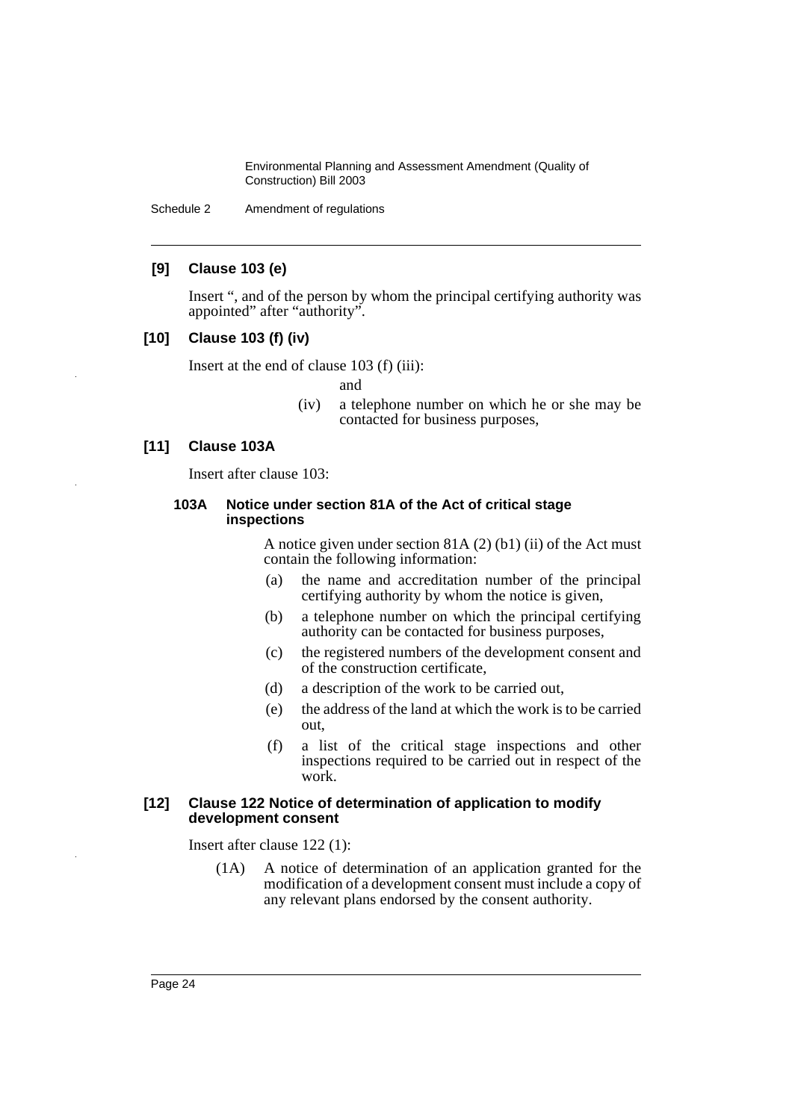Schedule 2 Amendment of regulations

# **[9] Clause 103 (e)**

Insert ", and of the person by whom the principal certifying authority was appointed" after "authority".

# **[10] Clause 103 (f) (iv)**

Insert at the end of clause 103 (f) (iii):

and

(iv) a telephone number on which he or she may be contacted for business purposes,

# **[11] Clause 103A**

Insert after clause 103:

#### **103A Notice under section 81A of the Act of critical stage inspections**

A notice given under section  $81A(2)$  (b1) (ii) of the Act must contain the following information:

- (a) the name and accreditation number of the principal certifying authority by whom the notice is given,
- (b) a telephone number on which the principal certifying authority can be contacted for business purposes,
- (c) the registered numbers of the development consent and of the construction certificate,
- (d) a description of the work to be carried out,
- (e) the address of the land at which the work is to be carried out,
- (f) a list of the critical stage inspections and other inspections required to be carried out in respect of the work.

# **[12] Clause 122 Notice of determination of application to modify development consent**

Insert after clause 122 (1):

(1A) A notice of determination of an application granted for the modification of a development consent must include a copy of any relevant plans endorsed by the consent authority.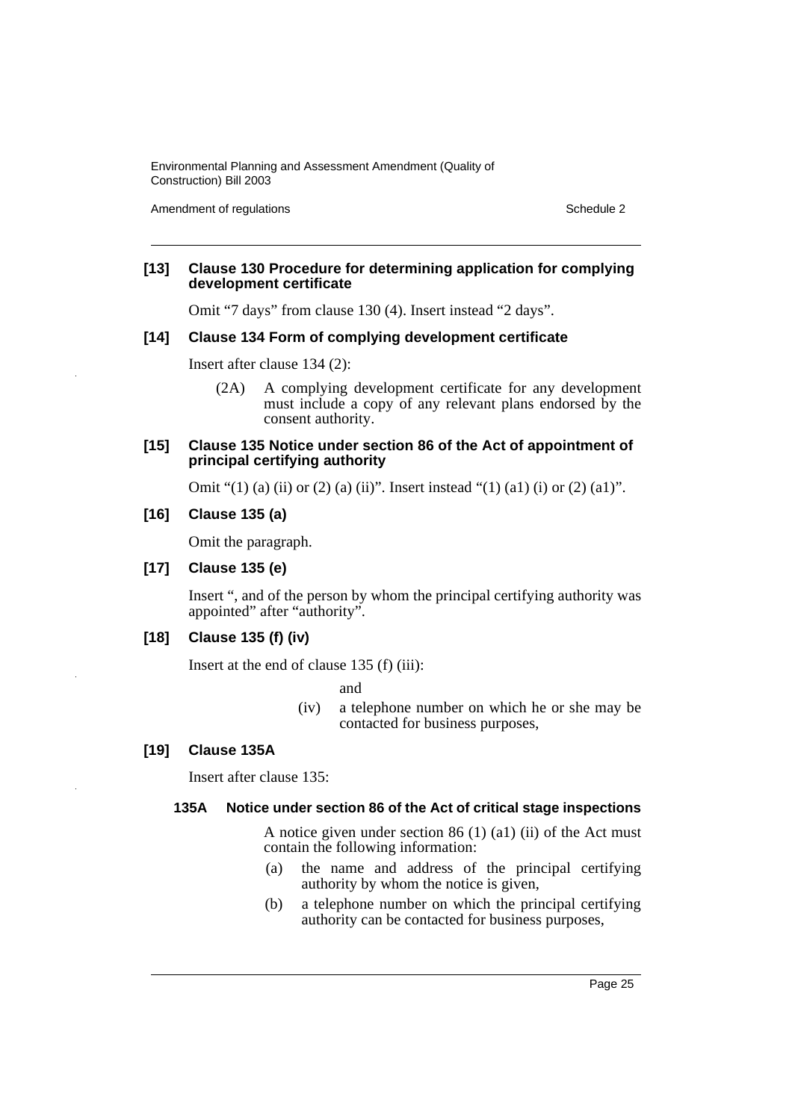Amendment of regulations **Schedule 2** Schedule 2

# **[13] Clause 130 Procedure for determining application for complying development certificate**

Omit "7 days" from clause 130 (4). Insert instead "2 days".

# **[14] Clause 134 Form of complying development certificate**

Insert after clause 134 (2):

(2A) A complying development certificate for any development must include a copy of any relevant plans endorsed by the consent authority.

#### **[15] Clause 135 Notice under section 86 of the Act of appointment of principal certifying authority**

Omit "(1) (a) (ii) or (2) (a) (ii)". Insert instead "(1) (a1) (i) or (2) (a1)".

#### **[16] Clause 135 (a)**

Omit the paragraph.

# **[17] Clause 135 (e)**

Insert ", and of the person by whom the principal certifying authority was appointed" after "authority".

#### **[18] Clause 135 (f) (iv)**

Insert at the end of clause 135 (f) (iii):

and

(iv) a telephone number on which he or she may be contacted for business purposes,

#### **[19] Clause 135A**

Insert after clause 135:

#### **135A Notice under section 86 of the Act of critical stage inspections**

A notice given under section 86 (1) (a1) (ii) of the Act must contain the following information:

- (a) the name and address of the principal certifying authority by whom the notice is given,
- (b) a telephone number on which the principal certifying authority can be contacted for business purposes,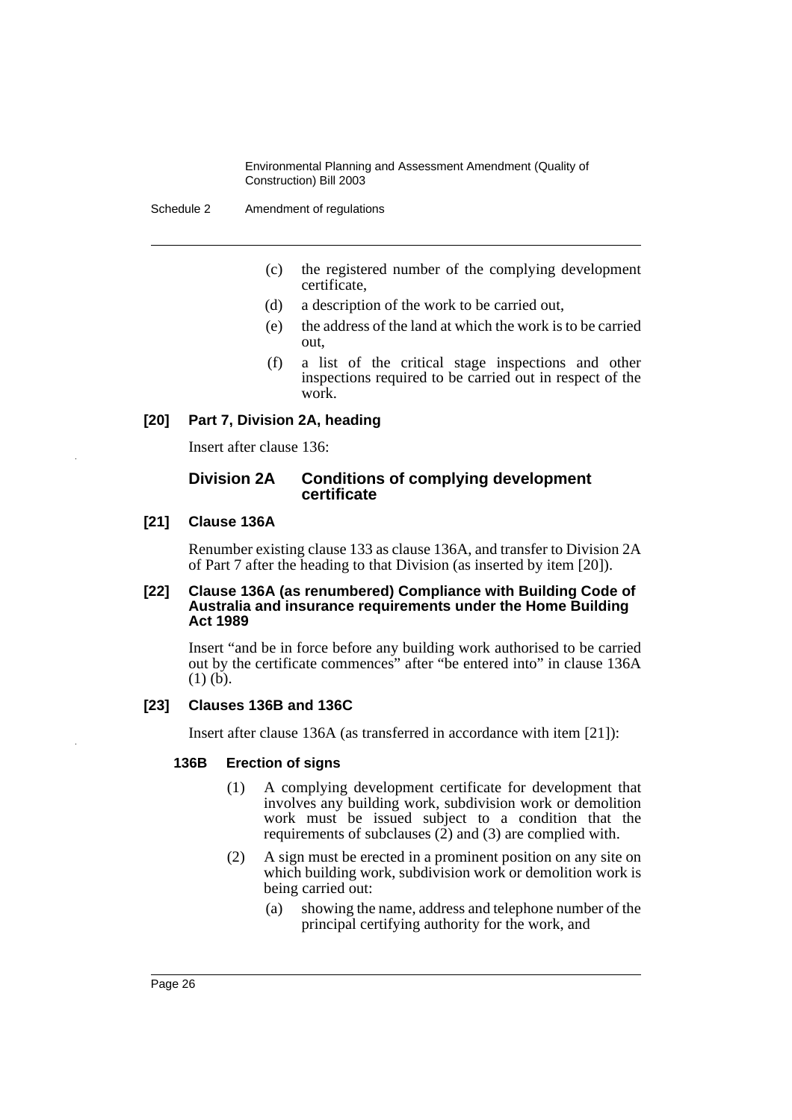Schedule 2 Amendment of regulations

- (c) the registered number of the complying development certificate,
- (d) a description of the work to be carried out,
- (e) the address of the land at which the work is to be carried out,
- (f) a list of the critical stage inspections and other inspections required to be carried out in respect of the work.

#### **[20] Part 7, Division 2A, heading**

Insert after clause 136:

# **Division 2A Conditions of complying development certificate**

# **[21] Clause 136A**

Renumber existing clause 133 as clause 136A, and transfer to Division 2A of Part 7 after the heading to that Division (as inserted by item [20]).

#### **[22] Clause 136A (as renumbered) Compliance with Building Code of Australia and insurance requirements under the Home Building Act 1989**

Insert "and be in force before any building work authorised to be carried out by the certificate commences" after "be entered into" in clause 136A (1) (b).

# **[23] Clauses 136B and 136C**

Insert after clause 136A (as transferred in accordance with item [21]):

# **136B Erection of signs**

- (1) A complying development certificate for development that involves any building work, subdivision work or demolition work must be issued subject to a condition that the requirements of subclauses (2) and (3) are complied with.
- (2) A sign must be erected in a prominent position on any site on which building work, subdivision work or demolition work is being carried out:
	- (a) showing the name, address and telephone number of the principal certifying authority for the work, and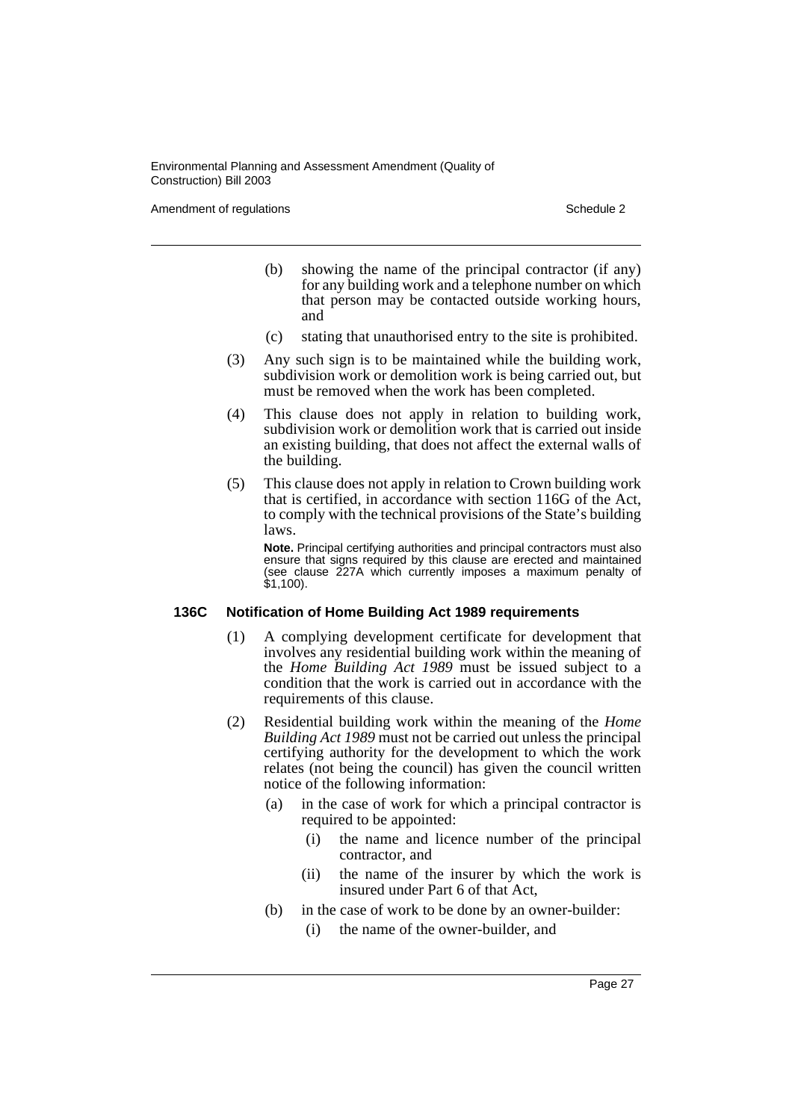Amendment of regulations **Schedule 2** Schedule 2

- (b) showing the name of the principal contractor (if any) for any building work and a telephone number on which that person may be contacted outside working hours, and
- (c) stating that unauthorised entry to the site is prohibited.
- (3) Any such sign is to be maintained while the building work, subdivision work or demolition work is being carried out, but must be removed when the work has been completed.
- (4) This clause does not apply in relation to building work, subdivision work or demolition work that is carried out inside an existing building, that does not affect the external walls of the building.
- (5) This clause does not apply in relation to Crown building work that is certified, in accordance with section 116G of the Act, to comply with the technical provisions of the State's building laws.

**Note.** Principal certifying authorities and principal contractors must also ensure that signs required by this clause are erected and maintained (see clause 227A which currently imposes a maximum penalty of \$1,100).

# **136C Notification of Home Building Act 1989 requirements**

- (1) A complying development certificate for development that involves any residential building work within the meaning of the *Home Building Act 1989* must be issued subject to a condition that the work is carried out in accordance with the requirements of this clause.
- (2) Residential building work within the meaning of the *Home Building Act 1989* must not be carried out unless the principal certifying authority for the development to which the work relates (not being the council) has given the council written notice of the following information:
	- (a) in the case of work for which a principal contractor is required to be appointed:
		- (i) the name and licence number of the principal contractor, and
		- (ii) the name of the insurer by which the work is insured under Part 6 of that Act,
	- (b) in the case of work to be done by an owner-builder:
		- (i) the name of the owner-builder, and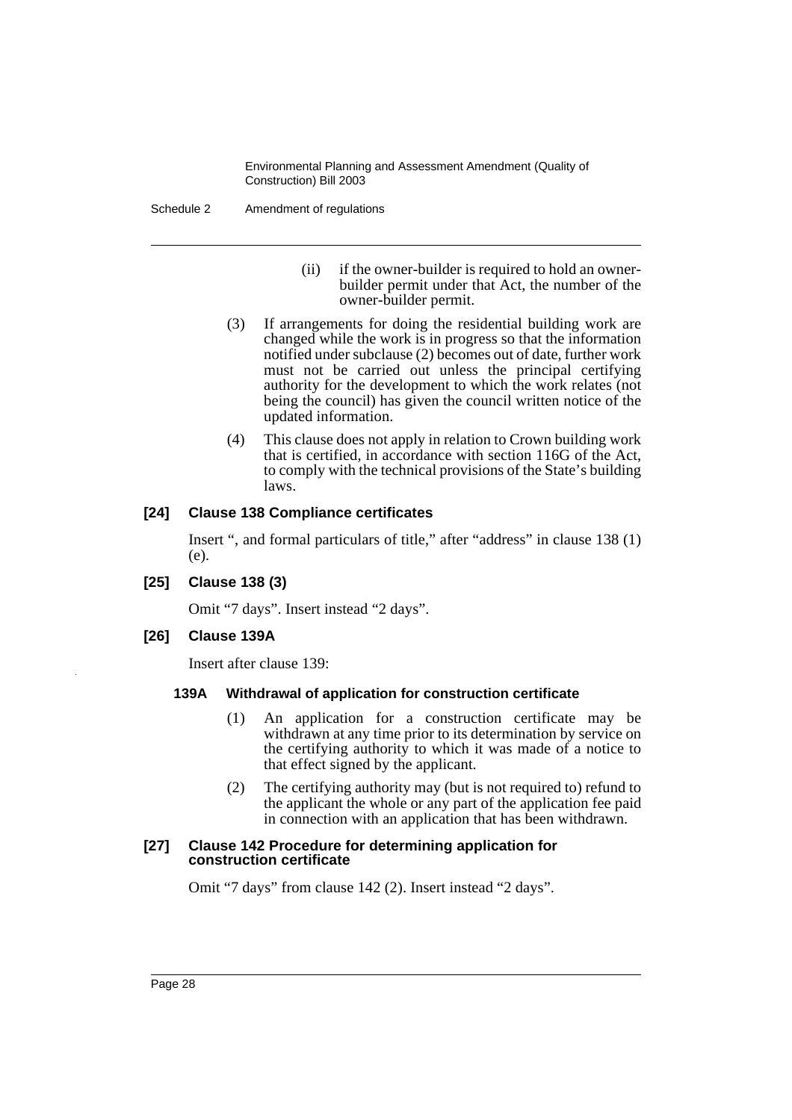Schedule 2 Amendment of regulations

- (ii) if the owner-builder is required to hold an ownerbuilder permit under that Act, the number of the owner-builder permit.
- (3) If arrangements for doing the residential building work are changed while the work is in progress so that the information notified under subclause (2) becomes out of date, further work must not be carried out unless the principal certifying authority for the development to which the work relates (not being the council) has given the council written notice of the updated information.
- (4) This clause does not apply in relation to Crown building work that is certified, in accordance with section 116G of the Act, to comply with the technical provisions of the State's building laws.

# **[24] Clause 138 Compliance certificates**

Insert ", and formal particulars of title," after "address" in clause 138 (1) (e).

**[25] Clause 138 (3)**

Omit "7 days". Insert instead "2 days".

# **[26] Clause 139A**

Insert after clause 139:

# **139A Withdrawal of application for construction certificate**

- (1) An application for a construction certificate may be withdrawn at any time prior to its determination by service on the certifying authority to which it was made of a notice to that effect signed by the applicant.
- (2) The certifying authority may (but is not required to) refund to the applicant the whole or any part of the application fee paid in connection with an application that has been withdrawn.

#### **[27] Clause 142 Procedure for determining application for construction certificate**

Omit "7 days" from clause 142 (2). Insert instead "2 days".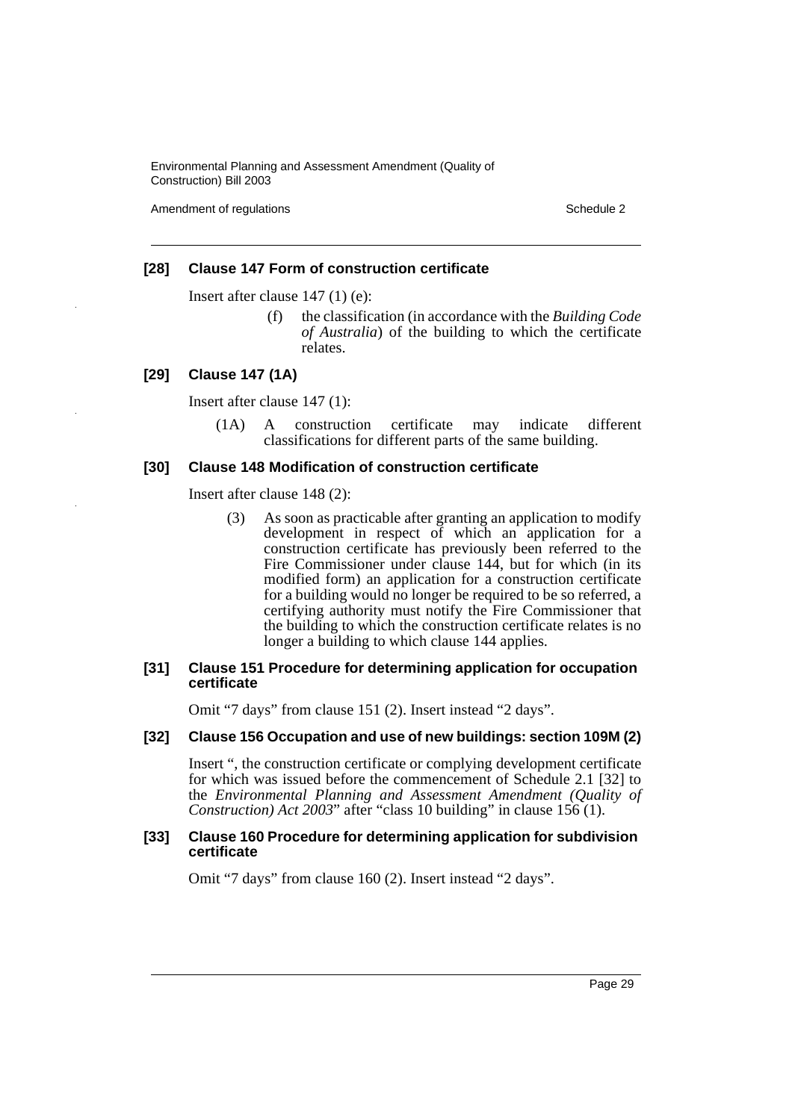Amendment of regulations **Schedule 2** Schedule 2

# **[28] Clause 147 Form of construction certificate**

Insert after clause 147 (1) (e):

(f) the classification (in accordance with the *Building Code of Australia*) of the building to which the certificate relates.

# **[29] Clause 147 (1A)**

Insert after clause 147 (1):

(1A) A construction certificate may indicate different classifications for different parts of the same building.

# **[30] Clause 148 Modification of construction certificate**

Insert after clause 148 (2):

(3) As soon as practicable after granting an application to modify development in respect of which an application for a construction certificate has previously been referred to the Fire Commissioner under clause 144, but for which (in its modified form) an application for a construction certificate for a building would no longer be required to be so referred, a certifying authority must notify the Fire Commissioner that the building to which the construction certificate relates is no longer a building to which clause 144 applies.

# **[31] Clause 151 Procedure for determining application for occupation certificate**

Omit "7 days" from clause 151 (2). Insert instead "2 days".

# **[32] Clause 156 Occupation and use of new buildings: section 109M (2)**

Insert ", the construction certificate or complying development certificate for which was issued before the commencement of Schedule 2.1 [32] to the *Environmental Planning and Assessment Amendment (Quality of Construction) Act 2003*" after "class 10 building" in clause 156 (1).

#### **[33] Clause 160 Procedure for determining application for subdivision certificate**

Omit "7 days" from clause 160 (2). Insert instead "2 days".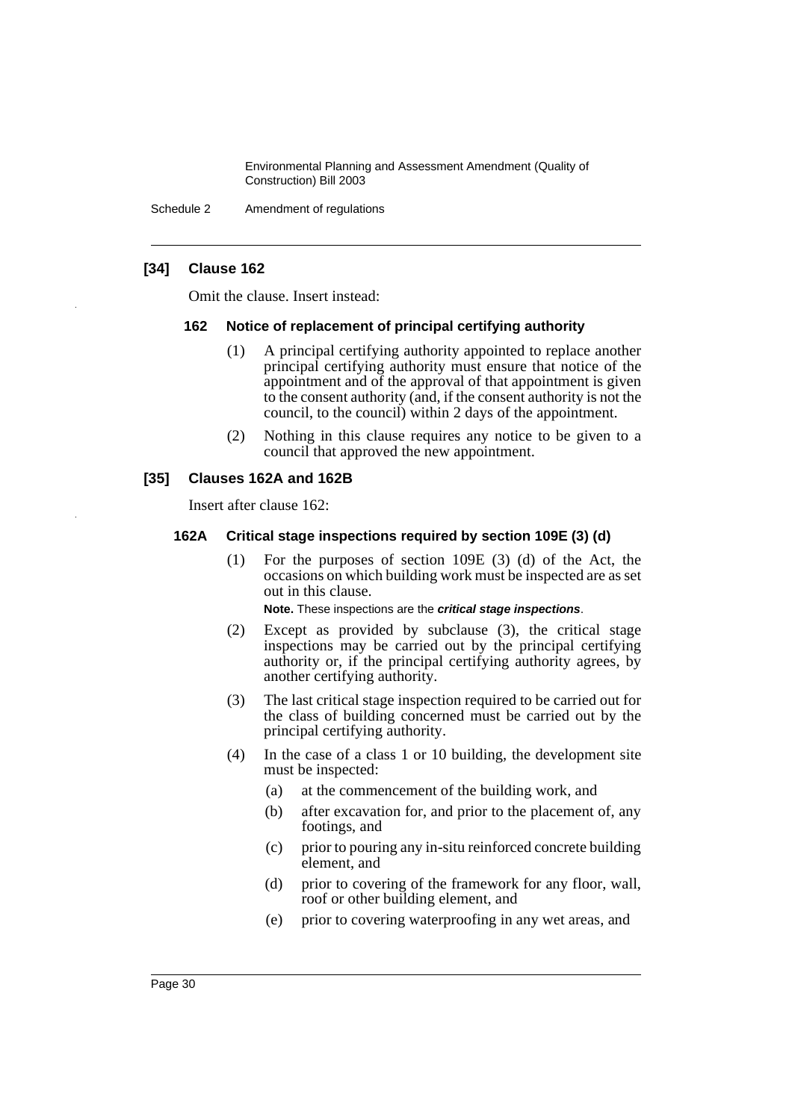Schedule 2 Amendment of regulations

# **[34] Clause 162**

Omit the clause. Insert instead:

#### **162 Notice of replacement of principal certifying authority**

- (1) A principal certifying authority appointed to replace another principal certifying authority must ensure that notice of the appointment and of the approval of that appointment is given to the consent authority (and, if the consent authority is not the council, to the council) within 2 days of the appointment.
- (2) Nothing in this clause requires any notice to be given to a council that approved the new appointment.

#### **[35] Clauses 162A and 162B**

Insert after clause 162:

#### **162A Critical stage inspections required by section 109E (3) (d)**

(1) For the purposes of section 109E (3) (d) of the Act, the occasions on which building work must be inspected are as set out in this clause.

**Note.** These inspections are the **critical stage inspections**.

- (2) Except as provided by subclause (3), the critical stage inspections may be carried out by the principal certifying authority or, if the principal certifying authority agrees, by another certifying authority.
- (3) The last critical stage inspection required to be carried out for the class of building concerned must be carried out by the principal certifying authority.
- (4) In the case of a class 1 or 10 building, the development site must be inspected:
	- (a) at the commencement of the building work, and
	- (b) after excavation for, and prior to the placement of, any footings, and
	- (c) prior to pouring any in-situ reinforced concrete building element, and
	- (d) prior to covering of the framework for any floor, wall, roof or other building element, and
	- (e) prior to covering waterproofing in any wet areas, and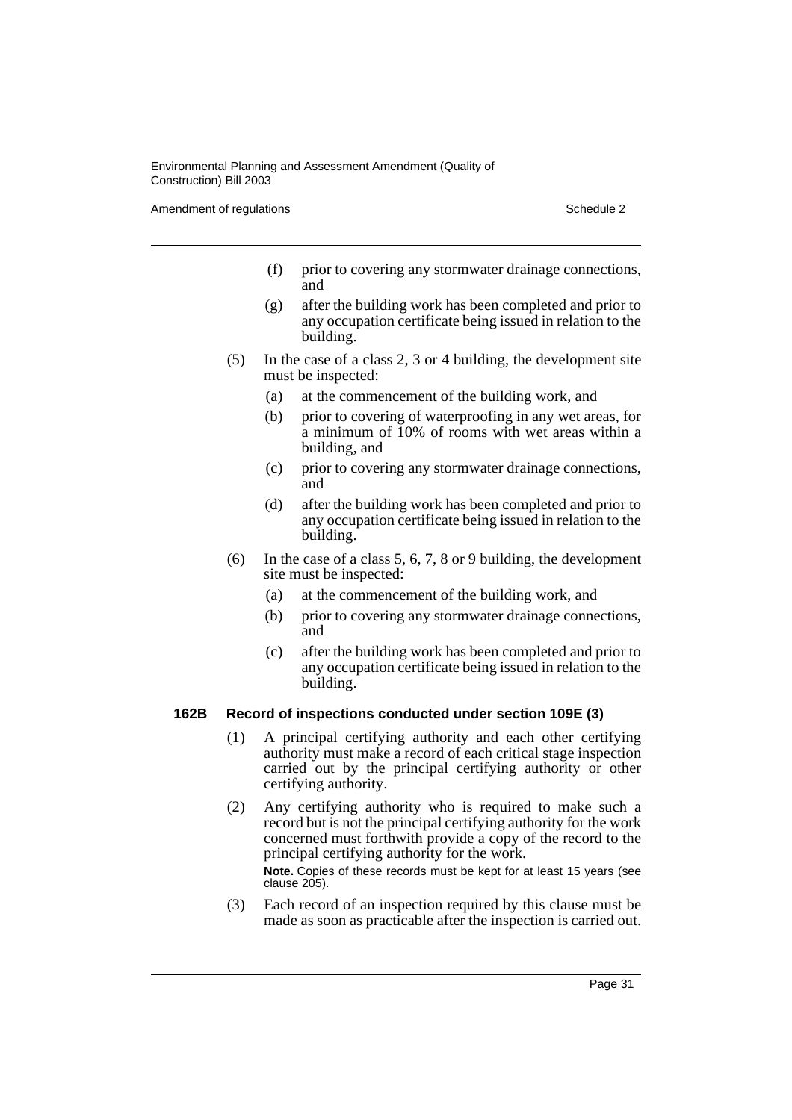Amendment of regulations **Schedule 2** Schedule 2

- (f) prior to covering any stormwater drainage connections, and
- (g) after the building work has been completed and prior to any occupation certificate being issued in relation to the building.
- (5) In the case of a class 2, 3 or 4 building, the development site must be inspected:
	- (a) at the commencement of the building work, and
	- (b) prior to covering of waterproofing in any wet areas, for a minimum of 10% of rooms with wet areas within a building, and
	- (c) prior to covering any stormwater drainage connections, and
	- (d) after the building work has been completed and prior to any occupation certificate being issued in relation to the building.
- (6) In the case of a class 5, 6, 7, 8 or 9 building, the development site must be inspected:
	- (a) at the commencement of the building work, and
	- (b) prior to covering any stormwater drainage connections, and
	- (c) after the building work has been completed and prior to any occupation certificate being issued in relation to the building.

# **162B Record of inspections conducted under section 109E (3)**

- (1) A principal certifying authority and each other certifying authority must make a record of each critical stage inspection carried out by the principal certifying authority or other certifying authority.
- (2) Any certifying authority who is required to make such a record but is not the principal certifying authority for the work concerned must forthwith provide a copy of the record to the principal certifying authority for the work. **Note.** Copies of these records must be kept for at least 15 years (see
- clause 205). (3) Each record of an inspection required by this clause must be made as soon as practicable after the inspection is carried out.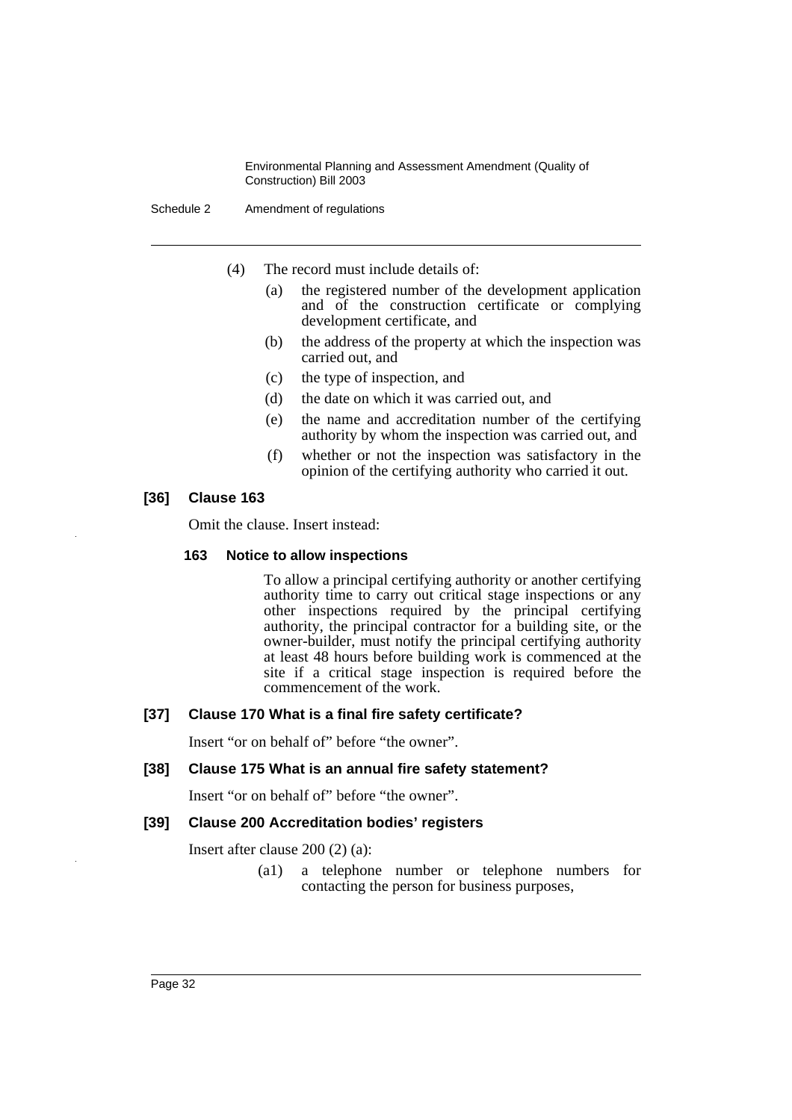Schedule 2 Amendment of regulations

- (4) The record must include details of:
	- (a) the registered number of the development application and of the construction certificate or complying development certificate, and
	- (b) the address of the property at which the inspection was carried out, and
	- (c) the type of inspection, and
	- (d) the date on which it was carried out, and
	- (e) the name and accreditation number of the certifying authority by whom the inspection was carried out, and
	- (f) whether or not the inspection was satisfactory in the opinion of the certifying authority who carried it out.

# **[36] Clause 163**

Omit the clause. Insert instead:

#### **163 Notice to allow inspections**

To allow a principal certifying authority or another certifying authority time to carry out critical stage inspections or any other inspections required by the principal certifying authority, the principal contractor for a building site, or the owner-builder, must notify the principal certifying authority at least 48 hours before building work is commenced at the site if a critical stage inspection is required before the commencement of the work.

# **[37] Clause 170 What is a final fire safety certificate?**

Insert "or on behalf of" before "the owner".

#### **[38] Clause 175 What is an annual fire safety statement?**

Insert "or on behalf of" before "the owner".

# **[39] Clause 200 Accreditation bodies' registers**

Insert after clause 200 (2) (a):

(a1) a telephone number or telephone numbers for contacting the person for business purposes,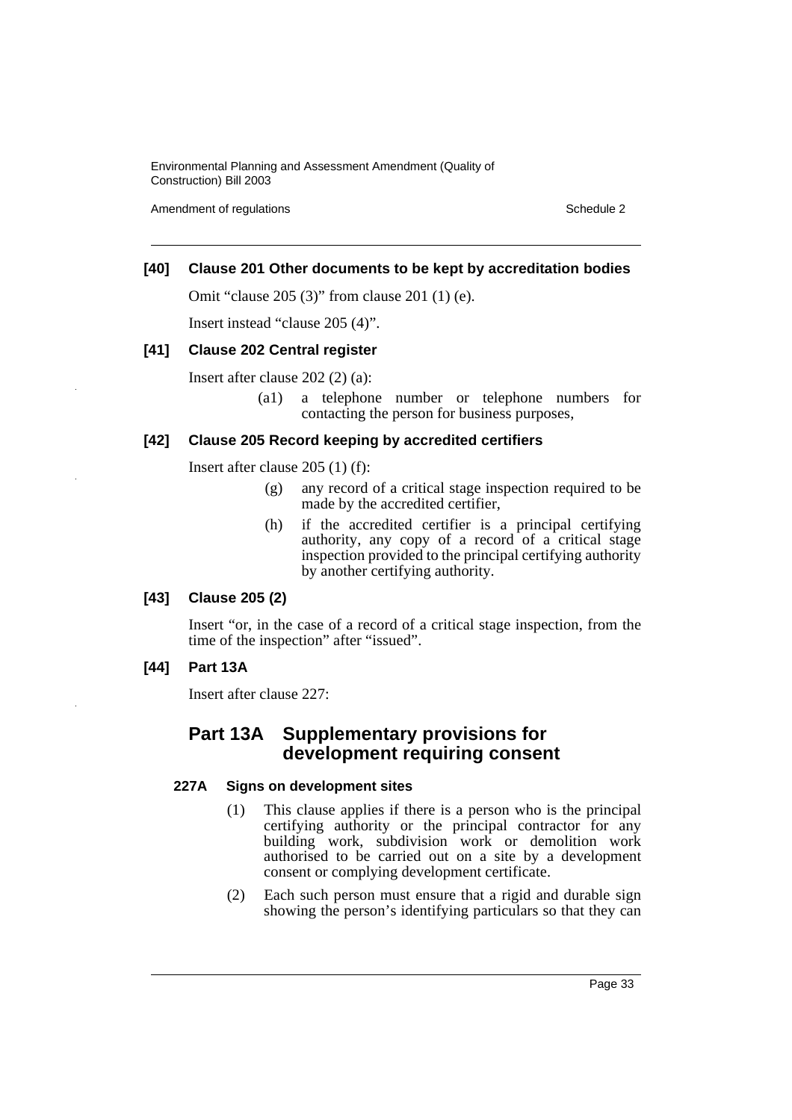Amendment of regulations **Schedule 2** Schedule 2

# **[40] Clause 201 Other documents to be kept by accreditation bodies**

Omit "clause 205 (3)" from clause 201 (1) (e).

Insert instead "clause 205 (4)".

#### **[41] Clause 202 Central register**

Insert after clause 202 (2) (a):

(a1) a telephone number or telephone numbers for contacting the person for business purposes,

# **[42] Clause 205 Record keeping by accredited certifiers**

Insert after clause 205 (1) (f):

- (g) any record of a critical stage inspection required to be made by the accredited certifier,
- (h) if the accredited certifier is a principal certifying authority, any copy of a record of a critical stage inspection provided to the principal certifying authority by another certifying authority.

# **[43] Clause 205 (2)**

Insert "or, in the case of a record of a critical stage inspection, from the time of the inspection" after "issued".

# **[44] Part 13A**

Insert after clause 227:

# **Part 13A Supplementary provisions for development requiring consent**

#### **227A Signs on development sites**

- (1) This clause applies if there is a person who is the principal certifying authority or the principal contractor for any building work, subdivision work or demolition work authorised to be carried out on a site by a development consent or complying development certificate.
- (2) Each such person must ensure that a rigid and durable sign showing the person's identifying particulars so that they can